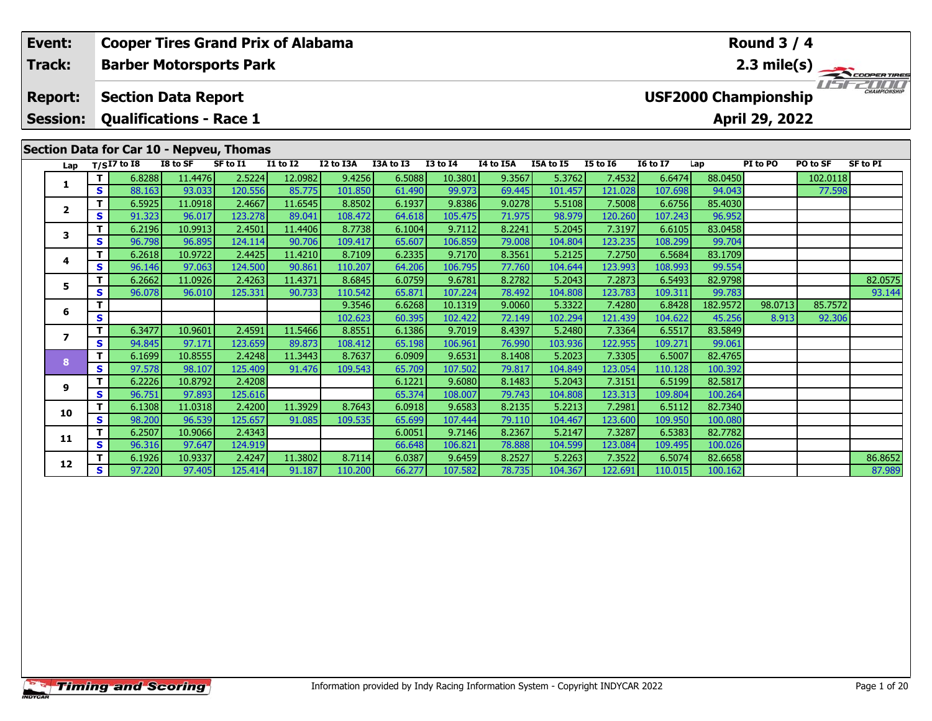| <b>Cooper Tires Grand Prix of Alabama</b><br>Round $3/4$<br>Event: |                                   |         |                                                              |                   |                   |                   |                   |                  |                   |                  |                   |                   |                   |                   |                                               |          |                                       |
|--------------------------------------------------------------------|-----------------------------------|---------|--------------------------------------------------------------|-------------------|-------------------|-------------------|-------------------|------------------|-------------------|------------------|-------------------|-------------------|-------------------|-------------------|-----------------------------------------------|----------|---------------------------------------|
|                                                                    | Track:                            |         | <b>Barber Motorsports Park</b>                               |                   |                   |                   |                   |                  |                   |                  |                   |                   |                   |                   |                                               |          | $\overbrace{ }^{2.3 \text{ mile(s)}}$ |
|                                                                    | <b>Report:</b><br><b>Session:</b> |         | <b>Section Data Report</b><br><b>Qualifications - Race 1</b> |                   |                   |                   |                   |                  |                   |                  |                   |                   |                   |                   | <b>USF2000 Championship</b><br>April 29, 2022 |          |                                       |
|                                                                    |                                   |         | Section Data for Car 10 - Nepveu, Thomas                     |                   |                   |                   |                   |                  |                   |                  |                   |                   |                   |                   |                                               |          |                                       |
|                                                                    | Lap                               |         | $T/SI7$ to I8                                                | I8 to SF          | SF to I1          | <b>I1 to I2</b>   | I2 to I3A         | I3A to I3        | <b>I3 to 14</b>   | I4 to I5A        | I5A to I5         | <b>I5 to 16</b>   | <b>16 to 17</b>   | Lap               | PI to PO                                      | PO to SF | <b>SF to PI</b>                       |
|                                                                    | 1.                                |         | 6.8288                                                       | 11.4476           | 2.5224            | 12.0982           | 9.4256            | 6.5088           | 10.3801           | 9.3567           | 5.3762            | 7.4532            | 6.6474            | 88.0450           |                                               | 102.0118 |                                       |
|                                                                    |                                   | S.      | 88.163                                                       | 93.033            | 120.556           | 85.775            | 101.850           | 61.490           | 99.973            | 69.445           | 101.457           | 121.028           | 107.698           | 94.043            |                                               | 77.598   |                                       |
|                                                                    | $\mathbf{2}$                      |         | 6.5925                                                       | 11.0918           | 2.4667            | 11.6545           | 8.8502            | 6.1937           | 9.8386            | 9.0278           | 5.5108            | 7.5008            | 6.6756            | 85.4030           |                                               |          |                                       |
|                                                                    |                                   | S.      | 91.323                                                       | 96.017            | 123.278           | 89.041            | 108.472           | 64.618           | 105.475           | 71.975           | 98.979            | 120.260           | 107.243           | 96.952            |                                               |          |                                       |
|                                                                    | 3                                 | T.      | 6.2196                                                       | 10.9913           | 2.4501            | 11.4406           | 8.7738            | 6.1004           | 9.7112            | 8.2241           | 5.2045            | 7.3197            | 6.6105            | 83.0458           |                                               |          |                                       |
|                                                                    |                                   | S<br>T. | 96.798<br>6.2618                                             | 96.895<br>10.9722 | 124.114<br>2.4425 | 90.706<br>11.4210 | 109.417<br>8.7109 | 65.607           | 106.859<br>9.7170 | 79.008<br>8.3561 | 104.804<br>5.2125 | 123.235<br>7.2750 | 108.299<br>6.5684 | 99.704<br>83.1709 |                                               |          |                                       |
|                                                                    | 4                                 | S.      | 96.146                                                       | 97.063            | 124.500           | 90.861            | 110.207           | 6.2335<br>64.206 | 106.795           | 77.760           | 104.644           | 123.993           | 108.993           | 99.554            |                                               |          |                                       |
|                                                                    |                                   | T.      | 6.2662                                                       | 11.0926           | 2.4263            | 11.4371           | 8.6845            | 6.0759           | 9.6781            | 8.2782           | 5.2043            | 7.2873            | 6.5493            | 82.9798           |                                               |          | 82.0575                               |
|                                                                    | 5                                 | S       | 96.078                                                       | 96.010            | 125.331           | 90.733            | 110.542           | 65.871           | 107.224           | 78.492           | 104.808           | 123.783           | 109.311           | 99.783            |                                               |          | 93.144                                |
|                                                                    |                                   | T.      |                                                              |                   |                   |                   | 9.3546            | 6.6268           | 10.1319           | 9.0060           | 5.3322            | 7.4280            | 6.8428            | 182.9572          | 98.0713                                       | 85.7572  |                                       |
|                                                                    | 6                                 | S       |                                                              |                   |                   |                   | 102.623           | 60.395           | 102.422           | 72.149           | 102.294           | 121.439           | 104.622           | 45.256            | 8.913                                         | 92.306   |                                       |
|                                                                    |                                   | T.      | 6.3477                                                       | 10.9601           | 2.4591            | 11.5466           | 8.8551            | 6.1386           | 9.7019            | 8.4397           | 5.2480            | 7.3364            | 6.5517            | 83.5849           |                                               |          |                                       |
|                                                                    | $\overline{ }$                    | S       | 94.845                                                       | 97.171            | 123.659           | 89.873            | 108.412           | 65.198           | 106.961           | 76.990           | 103.936           | 122.955           | 109.271           | 99.061            |                                               |          |                                       |
|                                                                    |                                   | T.      | 6.1699                                                       | 10.8555           | 2.4248            | 11.3443           | 8.7637            | 6.0909           | 9.6531            | 8.1408           | 5.2023            | 7.3305            | 6.5007            | 82.4765           |                                               |          |                                       |
|                                                                    | 8                                 | S.      | 97.578                                                       | 98.107            | 125.409           | 91.476            | 109.543           | 65.709           | 107.502           | 79.817           | 104.849           | 123.054           | 110.128           | 100.392           |                                               |          |                                       |
|                                                                    | 9                                 | T.      | 6.2226                                                       | 10.8792           | 2.4208            |                   |                   | 6.1221           | 9.6080            | 8.1483           | 5.2043            | 7.3151            | 6.5199            | 82.5817           |                                               |          |                                       |
|                                                                    |                                   | S       | 96.751                                                       | 97.893            | 125.616           |                   |                   | 65.374           | 108.007           | 79.743           | 104.808           | 123.313           | 109.804           | 100.264           |                                               |          |                                       |
|                                                                    | 10                                | т       | 6.1308                                                       | 11.0318           | 2.4200            | 11.3929           | 8.7643            | 6.0918           | 9.6583            | 8.2135           | 5.2213            | 7.2981            | 6.5112            | 82.7340           |                                               |          |                                       |
|                                                                    |                                   | S.      | 98.200                                                       | 96.539            | 125.657           | 91.085            | 109.535           | 65.699           | 107.444           | 79.110           | 104.467           | 123.600           | 109.950           | 100.080           |                                               |          |                                       |

**<sup>T</sup>** 6.2507 10.9066 2.4343 6.0051 9.7146 8.2367 5.2147 7.3287 6.5383 82.7782 **<sup>S</sup>** 96.316 97.647 124.919 66.648 106.821 78.888 104.599 123.084 109.495 100.026

**11**

**12**

1 6.1926| 10.9337| 2.4247| 11.3802| 8.7114| 6.0387| 9.6459| 8.2527| 5.2263| 7.3522| 6.5074| 82.6658| | | | 86.8652<br>| S 97.220| 97.405| 125.414| 91.187| 110.200| 66.277| 107.582| 78.735| 104.367| 122.691| 110.015| 100.1

87.989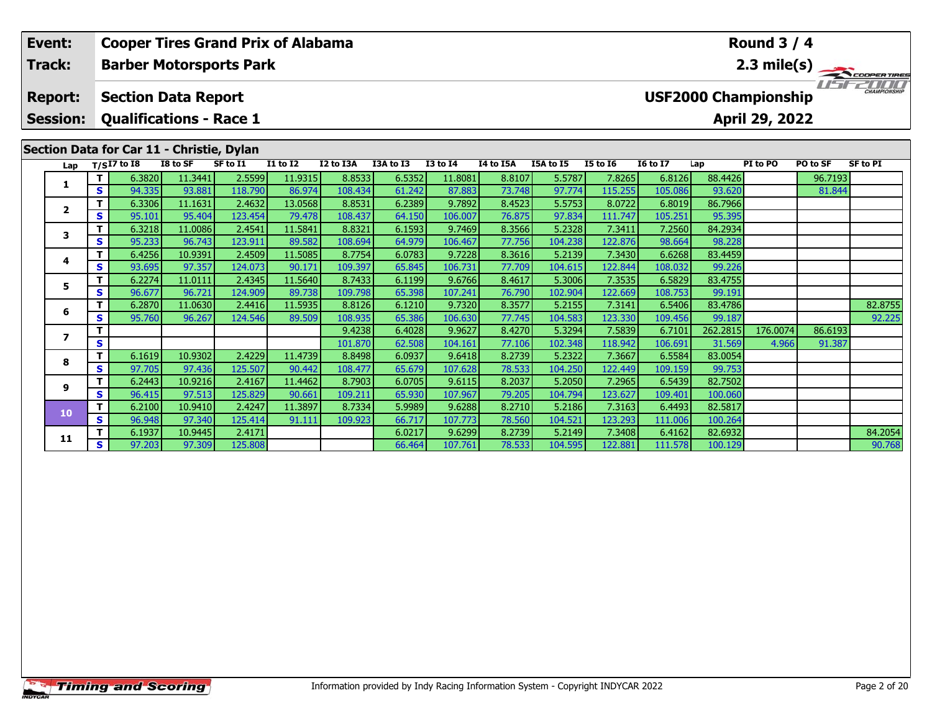| <b>Cooper Tires Grand Prix of Alabama</b><br>Event: |         |                                                              |                   |                   |                                    |                   |                  |                   |                  |                   | <b>Round 3 / 4</b> |                   |                    |                                               |          |             |
|-----------------------------------------------------|---------|--------------------------------------------------------------|-------------------|-------------------|------------------------------------|-------------------|------------------|-------------------|------------------|-------------------|--------------------|-------------------|--------------------|-----------------------------------------------|----------|-------------|
| Track:                                              |         | <b>Barber Motorsports Park</b>                               |                   |                   |                                    |                   |                  |                   |                  |                   |                    |                   |                    |                                               |          | 2.3 mile(s) |
| <b>Report:</b><br><b>Session:</b>                   |         | <b>Section Data Report</b><br><b>Qualifications - Race 1</b> |                   |                   |                                    |                   |                  |                   |                  |                   |                    |                   |                    | <b>USF2000 Championship</b><br>April 29, 2022 |          |             |
|                                                     |         | Section Data for Car 11 - Christie, Dylan                    |                   |                   |                                    |                   |                  |                   |                  |                   |                    |                   |                    |                                               |          |             |
| Lap                                                 |         | $T/SI7$ to $I8$                                              | I8 to SF          | SF to I1          | $\overline{11}$ to $\overline{12}$ | I2 to I3A         | I3A to I3        | <b>I3 to I4</b>   | I4 to I5A        | I5A to I5         | <b>I5 to 16</b>    | <b>I6 to I7</b>   | Lap                | PI to PO                                      | PO to SF | SF to PI    |
| 1.                                                  | T.      | 6.3820                                                       | 11.3441           | 2.5599            | 11.9315                            | 8.8533            | 6.5352           | 11.8081           | 8.8107           | 5.5787            | 7.8265             | 6.8126            | 88.4426            |                                               | 96.7193  |             |
|                                                     | S       | 94.335                                                       | 93.881            | 118.790           | 86.974                             | 108.434           | 61.242           | 87.883            | 73.748           | 97.774            | 115.255            | 105.086           | 93.620             |                                               | 81.844   |             |
| $\mathbf{2}$                                        | T.      | 6.3306                                                       | 11.1631           | 2.4632            | 13.0568                            | 8.8531            | 6.2389           | 9.7892            | 8.4523           | 5.5753            | 8.0722             | 6.8019            | 86.7966            |                                               |          |             |
|                                                     | S.      | 95.101                                                       | 95.404            | 123.454           | 79.478                             | 108.437           | 64.150           | 106.007           | 76.875           | 97.834            | 111.747            | 105.251           | 95.395             |                                               |          |             |
| 3                                                   | T.      | 6.3218                                                       | 11.0086           | 2.4541            | 11.5841                            | 8.8321            | 6.1593           | 9.7469            | 8.3566           | 5.2328            | 7.3411             | 7.2560            | 84.2934            |                                               |          |             |
|                                                     | S.      | 95.233                                                       | 96.743            | 123.911           | 89.582                             | 108.694           | 64.979           | 106.467           | 77.756           | 104.238           | 122.876            | 98.664            | 98.228             |                                               |          |             |
| 4                                                   | T.      | 6.4256                                                       | 10.9391           | 2.4509            | 11.5085                            | 8.7754            | 6.0783           | 9.7228            | 8.3616           | 5.2139            | 7.3430             | 6.6268            | 83.4459            |                                               |          |             |
|                                                     | S.      | 93.695                                                       | 97.357            | 124.073           | 90.171                             | 109.397           | 65.845           | 106.731           | 77.709           | 104.615           | 122.844            | 108.032           | 99.226             |                                               |          |             |
| 5                                                   | T.      | 6.2274                                                       | 11.0111           | 2.4345            | 11.5640                            | 8.7433            | 6.1199           | 9.6766            | 8.4617           | 5.3006            | 7.3535             | 6.5829            | 83.4755            |                                               |          |             |
|                                                     | S.      | 96.677                                                       | 96.721            | 124.909           | 89.738                             | 109.798           | 65.398           | 107.241           | 76.790           | 102.904           | 122.669            | 108.753           | 99.191             |                                               |          |             |
| 6                                                   |         | 6.2870                                                       | 11.0630           | 2.4416            | 11.5935                            | 8.8126            | 6.1210           | 9.7320            | 8.3577           | 5.2155            | 7.3141             | 6.5406            | 83.4786            |                                               |          | 82.8755     |
|                                                     | S       | 95.760                                                       | 96.267            | 124.546           | 89.509                             | 108.935           | 65.386           | 106.630           | 77.745           | 104.583           | 123.330            | 109.456           | 99.187             |                                               |          | 92.225      |
| $\overline{ }$                                      | T.      |                                                              |                   |                   |                                    | 9.4238            | 6.4028           | 9.9627            | 8.4270           | 5.3294            | 7.5839             | 6.7101            | 262.2815           | 176.0074                                      | 86.6193  |             |
|                                                     | S       |                                                              |                   |                   |                                    | 101.870           | 62.508           | 104.161           | 77.106           | 102.348           | 118.942            | 106.691           | 31.569             | 4.966                                         | 91.387   |             |
| 8                                                   | T.      | 6.1619                                                       | 10.9302           | 2.4229            | 11.4739                            | 8.8498            | 6.0937           | 9.6418            | 8.2739           | 5.2322            | 7.3667             | 6.5584            | 83.0054            |                                               |          |             |
|                                                     | S       | 97.705                                                       | 97.436            | 125.507           | 90.442                             | 108.477           | 65.679           | 107.628           | 78.533           | 104.250           | 122.449            | 109.159           | 99.753             |                                               |          |             |
| 9                                                   | T.      | 6.2443                                                       | 10.9216<br>97.513 | 2.4167<br>125.829 | 11.4462<br>90.661                  | 8.7903            | 6.0705           | 9.6115<br>107.967 | 8.2037<br>79.205 | 5.2050            | 7.2965             | 6.5439            | 82.7502            |                                               |          |             |
|                                                     | S.<br>т | 96.415                                                       |                   |                   |                                    | 109.211           | 65.930           |                   |                  | 104.794           | 123.627            | 109.401           | 100.060            |                                               |          |             |
| 10                                                  | S.      | 6.2100<br>96.948                                             | 10.9410<br>97.340 | 2.4247<br>125.414 | 11.3897<br>91.111                  | 8.7334<br>109.923 | 5.9989<br>66.717 | 9.6288<br>107.773 | 8.2710<br>78.560 | 5.2186<br>104.521 | 7.3163<br>123.293  | 6.4493<br>111.006 | 82.5817<br>100.264 |                                               |          |             |
|                                                     |         |                                                              |                   |                   |                                    |                   |                  |                   |                  |                   |                    |                   |                    |                                               |          |             |

**<sup>T</sup>** 6.1937 10.9445 2.4171 6.0217 9.6299 8.2739 5.2149 7.3408 6.4162 82.6932 84.2054 **<sup>S</sup>** 97.203 97.309 125.808 66.464 107.761 78.533 104.595 122.881 111.578 100.129 90.768

90.768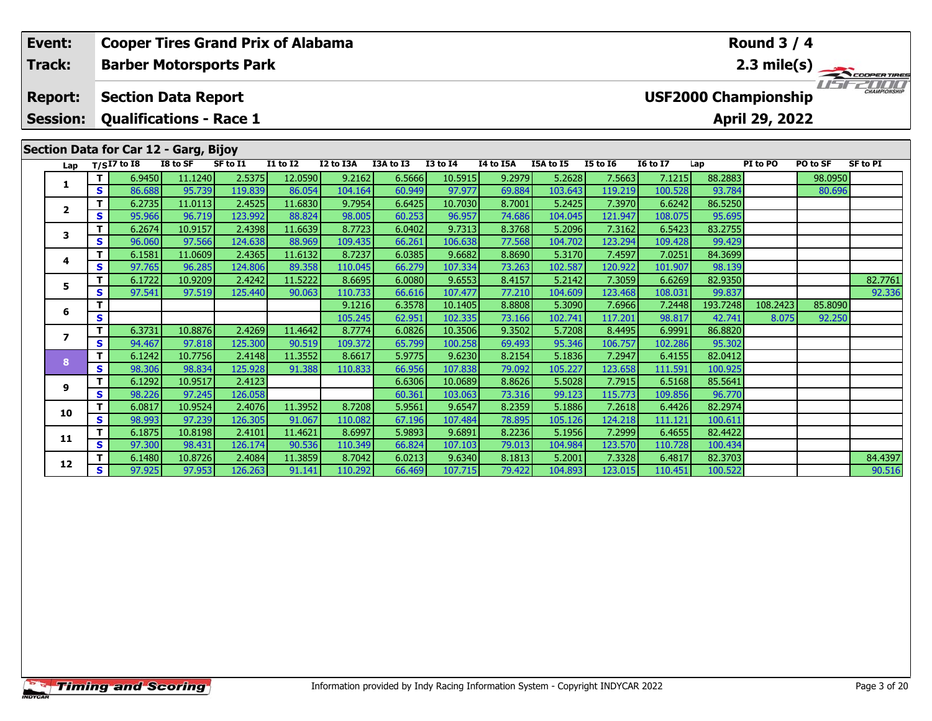| <b>Cooper Tires Grand Prix of Alabama</b><br>Event: |                                   |                |                                                              |                   |                   | <b>Round 3 / 4</b> |                  |                  |                   |                  |                   |                   |                   |                             |                |          |                       |
|-----------------------------------------------------|-----------------------------------|----------------|--------------------------------------------------------------|-------------------|-------------------|--------------------|------------------|------------------|-------------------|------------------|-------------------|-------------------|-------------------|-----------------------------|----------------|----------|-----------------------|
|                                                     | <b>Track:</b>                     |                | <b>Barber Motorsports Park</b>                               |                   |                   |                    |                  |                  |                   |                  |                   |                   |                   |                             |                |          | $2.3 \text{ mile(s)}$ |
|                                                     | <b>Report:</b><br><b>Session:</b> |                | <b>Section Data Report</b><br><b>Qualifications - Race 1</b> |                   |                   |                    |                  |                  |                   |                  |                   |                   |                   | <b>USF2000 Championship</b> | April 29, 2022 |          | <b>CHAMPIONSHIP</b>   |
|                                                     |                                   |                | Section Data for Car 12 - Garg, Bijoy                        |                   |                   |                    |                  |                  |                   |                  |                   |                   |                   |                             |                |          |                       |
|                                                     | Lap                               |                | $T/SI7$ to I8                                                | I8 to SF          | SF to I1          | <b>I1 to I2</b>    | I2 to I3A        | I3A to I3        | <b>I3 to I4</b>   | I4 to I5A        | I5A to I5         | <b>I5 to 16</b>   | <b>I6 to I7</b>   | Lap                         | PI to PO       | PO to SF | <b>SF to PI</b>       |
|                                                     | 1                                 | T.             | 6.9450                                                       | 11.1240           | 2.5375            | 12.0590            | 9.2162           | 6.5666           | 10.5915           | 9.2979           | 5.2628            | 7.5663            | 7.1215            | 88.2883                     |                | 98.0950  |                       |
|                                                     |                                   | <b>S</b>       | 86.688                                                       | 95.739            | 119.839           | 86.054             | 104.164          | 60.949           | 97.977            | 69.884           | 103.643           | 119.219           | 100.528           | 93.784                      |                | 80.696   |                       |
|                                                     | $\mathbf{2}$                      | T.<br><b>S</b> | 6.2735<br>95.966                                             | 11.0113<br>96.719 | 2.4525<br>123.992 | 11.6830<br>88.824  | 9.7954<br>98.005 | 6.6425           | 10.7030<br>96.957 | 8.7001<br>74.686 | 5.2425<br>104.045 | 7.3970<br>121.947 | 6.6242            | 86.5250<br>95.695           |                |          |                       |
|                                                     |                                   | T.             | 6.2674                                                       | 10.9157           | 2.4398            | 11.6639            | 8.7723           | 60.253<br>6.0402 | 9.7313            | 8.3768           | 5.2096            | 7.3162            | 108.075<br>6.5423 | 83.2755                     |                |          |                       |
|                                                     | 3                                 | <b>S</b>       | 96.060                                                       | 97.566            | 124.638           | 88.969             | 109.435          | 66.261           | 106.638           | 77.568           | 104.702           | 123.294           | 109.428           | 99.429                      |                |          |                       |
|                                                     |                                   |                | 6.1581                                                       | 11.0609           | 2.4365            | 11.6132            | 8.7237           | 6.0385           | 9.6682            | 8.8690           | 5.3170            | 7.4597            | 7.0251            | 84.3699                     |                |          |                       |
|                                                     | 4                                 | S.             | 97.765                                                       | 96.285            | 124.806           | 89.358             | 110.045          | 66.279           | 107.334           | 73.263           | 102.587           | 120.922           | 101.907           | 98.139                      |                |          |                       |
|                                                     |                                   | T.             | 6.1722                                                       | 10.9209           | 2.4242            | 11.5222            | 8.6695           | 6.0080           | 9.6553            | 8.4157           | 5.2142            | 7.3059            | 6.6269            | 82.9350                     |                |          | 82.7761               |
|                                                     | 5                                 | <b>S</b>       | 97.541                                                       | 97.519            | 125.440           | 90.063             | 110.733          | 66.616           | 107.477           | 77.210           | 104.609           | 123.468           | 108.031           | 99.837                      |                |          | 92.336                |
|                                                     | 6                                 |                |                                                              |                   |                   |                    | 9.1216           | 6.3578           | 10.1405           | 8.8808           | 5.3090            | 7.6966            | 7.2448            | 193.7248                    | 108.2423       | 85.8090  |                       |
|                                                     |                                   | S              |                                                              |                   |                   |                    | 105.245          | 62.951           | 102.335           | 73.166           | 102.741           | 117.201           | 98.817            | 42.741                      | 8.075          | 92.250   |                       |
|                                                     |                                   | T.             | 6.3731                                                       | 10.8876           | 2.4269            | 11.4642            | 8.7774           | 6.0826           | 10.3506           | 9.3502           | 5.7208            | 8.4495            | 6.9991            | 86.8820                     |                |          |                       |
|                                                     | $\overline{\phantom{a}}$          | S              | 94.467                                                       | 97.818            | 125.300           | 90.519             | 109.372          | 65.799           | 100.258           | 69.493           | 95.346            | 106.757           | 102.286           | 95.302                      |                |          |                       |
|                                                     | 8                                 | T.             | 6.1242                                                       | 10.7756           | 2.4148            | 11.3552            | 8.6617           | 5.9775           | 9.6230            | 8.2154           | 5.1836            | 7.2947            | 6.4155            | 82.0412                     |                |          |                       |
|                                                     |                                   | <b>S</b>       | 98.306                                                       | 98.834            | 125.928           | 91.388             | 110.833          | 66.956           | 107.838           | 79.092           | 105.227           | 123.658           | 111.591           | 100.925                     |                |          |                       |
|                                                     | 9                                 | T.             | 6.1292                                                       | 10.9517           | 2.4123            |                    |                  | 6.6306           | 10.0689           | 8.8626           | 5.5028            | 7.7915            | 6.5168            | 85.5641                     |                |          |                       |
|                                                     |                                   | S.             | 98.226<br>6.0817                                             | 97.245<br>10.9524 | 126.058<br>2.4076 | 11.3952            | 8.7208           | 60.361           | 103.063<br>9.6547 | 73.316<br>8.2359 | 99.123<br>5.1886  | 115.773           | 109.856<br>6.4426 | 96.770<br>82.2974           |                |          |                       |
|                                                     | 10                                |                |                                                              |                   |                   |                    |                  | 5.9561           |                   |                  |                   | 7.2618            |                   |                             |                |          |                       |
|                                                     |                                   | <b>S</b>       | 98.993                                                       | 97.239            | 126.305           | 91.067             | 110.082          | 67.196           | 107.484           | 78.895           | 105.126           | 124.218           | 111.121           | 100.611                     |                |          |                       |

**<sup>T</sup>** 6.1875 10.8198 2.4101 11.4621 8.6997 5.9893 9.6891 8.2236 5.1956 7.2999 6.4655 82.4422 **<sup>S</sup>** 97.300 98.431 126.174 90.536 110.349 66.824 107.103 79.013 104.984 123.570 110.728 100.434

**11**

**12**

1 6.1480| 10.8726| 2.4084| 11.3859| 8.7042| 6.0213| 9.6340| 8.1813| 5.2001| 7.3328| 6.4817| 82.3703| | | | 84.4397<br>| S 97.925| 97.953| 126.263| 91.141| 110.292| 66.469 107.715| 79.422| 104.893| 123.015| 110.451| 100.52

90.516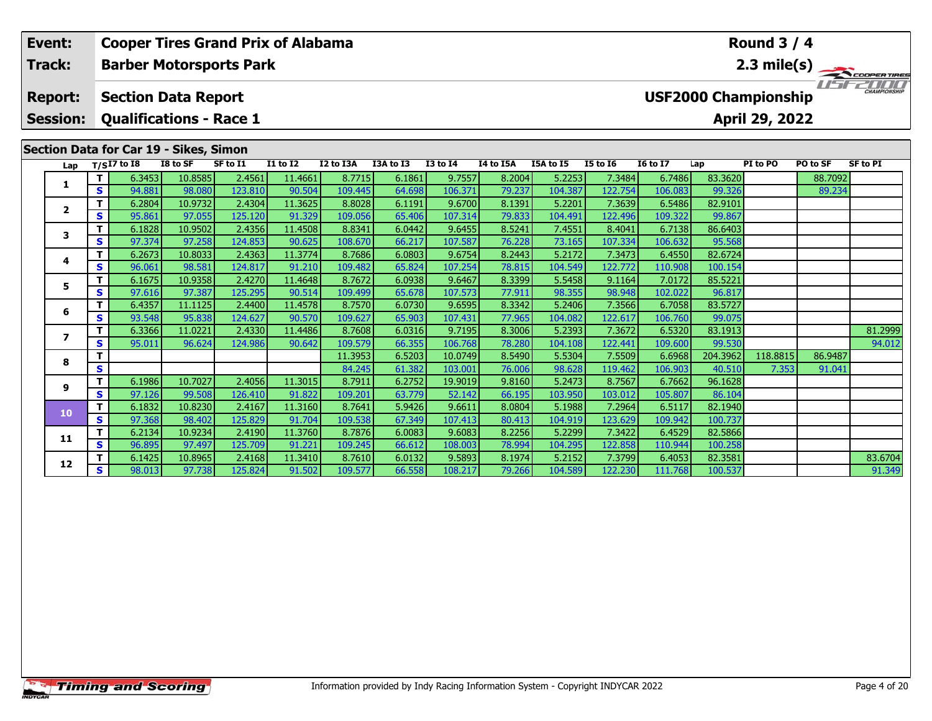| Event:<br><b>Cooper Tires Grand Prix of Alabama</b><br>Round $3/4$<br>2.3 mile(s)<br>Track:<br><b>Barber Motorsports Park</b> |                 |                              |                                        |                   |                   |                   |                   |                  |                   |                  |                   |                   |                   |                   |                             |          |                 |
|-------------------------------------------------------------------------------------------------------------------------------|-----------------|------------------------------|----------------------------------------|-------------------|-------------------|-------------------|-------------------|------------------|-------------------|------------------|-------------------|-------------------|-------------------|-------------------|-----------------------------|----------|-----------------|
|                                                                                                                               |                 |                              |                                        |                   |                   |                   |                   |                  |                   |                  |                   |                   |                   |                   |                             |          |                 |
|                                                                                                                               | <b>Report:</b>  |                              | <b>Section Data Report</b>             |                   |                   |                   |                   |                  |                   |                  |                   |                   |                   |                   | <b>USF2000 Championship</b> |          |                 |
|                                                                                                                               | <b>Session:</b> |                              | <b>Qualifications - Race 1</b>         |                   |                   |                   |                   |                  |                   |                  |                   |                   |                   |                   | April 29, 2022              |          |                 |
|                                                                                                                               |                 |                              | Section Data for Car 19 - Sikes, Simon |                   |                   |                   |                   |                  |                   |                  |                   |                   |                   |                   |                             |          |                 |
|                                                                                                                               | Lap             |                              | $T/SI7$ to I8                          | I8 to SF          | SF to I1          | <b>I1 to I2</b>   | I2 to I3A         | I3A to I3        | <b>I3 to I4</b>   | I4 to I5A        | I5A to I5         | <b>I5 to 16</b>   | <b>16 to 17</b>   | Lap               | PI to PO                    | PO to SF | <b>SF to PI</b> |
|                                                                                                                               | 1.              |                              | 6.3453                                 | 10.8585           | 2.4561            | 11.4661           | 8.7715            | 6.1861           | 9.7557            | 8.2004           | 5.2253            | 7.3484            | 6.7486            | 83.3620           |                             | 88.7092  |                 |
|                                                                                                                               |                 | S.                           | 94.881                                 | 98.080<br>10.9732 | 123.810           | 90.504<br>11.3625 | 109.445           | 64.698           | 106.371           | 79.237<br>8.1391 | 104.387           | 122.754           | 106.083           | 99.326            |                             | 89.234   |                 |
|                                                                                                                               | $\mathbf{2}$    | T.<br>S                      | 6.2804<br>95.861                       | 97.055            | 2.4304<br>125.120 | 91.329            | 8.8028<br>109.056 | 6.1191<br>65.406 | 9.6700<br>107.314 | 79.833           | 5.2201<br>104.491 | 7.3639<br>122.496 | 6.5486<br>109.322 | 82.9101<br>99.867 |                             |          |                 |
|                                                                                                                               |                 | T.                           | 6.1828                                 | 10.9502           | 2.4356            | 11.4508           | 8.8341            | 6.0442           | 9.6455            | 8.5241           | 7.4551            | 8.4041            | 6.7138            | 86.6403           |                             |          |                 |
|                                                                                                                               | 3               | S                            | 97.374                                 | 97.258            | 124.853           | 90.625            | 108.670           | 66.217           | 107.587           | 76.228           | 73.165            | 107.334           | 106.632           | 95.568            |                             |          |                 |
|                                                                                                                               |                 | T.                           | 6.2673                                 | 10.8033           | 2.4363            | 11.3774           | 8.7686            | 6.0803           | 9.6754            | 8.2443           | 5.2172            | 7.3473            | 6.4550            | 82.6724           |                             |          |                 |
|                                                                                                                               | 4               | S                            | 96.061                                 | 98.581            | 124.817           | 91.210            | 109.482           | 65.824           | 107.254           | 78.815           | 104.549           | 122.772           | 110.908           | 100.154           |                             |          |                 |
|                                                                                                                               |                 |                              | 6.1675                                 | 10.9358           | 2.4270            | 11.4648           | 8.7672            | 6.0938           | 9.6467            | 8.3399           | 5.5458            | 9.1164            | 7.0172            | 85.5221           |                             |          |                 |
|                                                                                                                               | 5               | S                            | 97.616                                 | 97.387            | 125.295           | 90.514            | 109.499           | 65.678           | 107.573           | 77.911           | 98.355            | 98.948            | 102.022           | 96.817            |                             |          |                 |
|                                                                                                                               | 6               | T.                           | 6.4357                                 | 11.1125           | 2.4400            | 11.4578           | 8.7570            | 6.0730           | 9.6595            | 8.3342           | 5.2406            | 7.3566            | 6.7058            | 83.5727           |                             |          |                 |
|                                                                                                                               |                 | S.<br>93.548<br>6.3366<br>T. |                                        | 95.838            | 124.627           | 90.570            | 109.627           | 65.903           | 107.431           | 77.965           | 104.082           | 122.617           | 106.760           | 99.075            |                             |          |                 |
|                                                                                                                               | $\overline{ }$  |                              | 11.0221                                | 2.4330            | 11.4486           | 8.7608            | 6.0316            | 9.7195           | 8.3006            | 5.2393           | 7.3672            | 6.5320            | 83.1913           |                   |                             | 81.2999  |                 |
|                                                                                                                               |                 | S.                           | 95.011                                 | 96.624            | 124.986           | 90.642            | 109.579           | 66.355           | 106.768           | 78.280           | 104.108           | 122.441           | 109.600           | 99.530            |                             |          | 94.012          |
|                                                                                                                               | 8               |                              |                                        |                   |                   | 11.3953           | 6.5203            | 10.0749          | 8.5490            | 5.5304           | 7.5509            | 6.6968            | 204.3962          | 118.8815          | 86.9487                     |          |                 |
|                                                                                                                               |                 | S                            |                                        |                   |                   |                   | 84.245            | 61.382           | 103.001           | 76.006           | 98.628            | 119.462           | 106.903           | 40.510            | 7.353                       | 91.041   |                 |
|                                                                                                                               | 9               |                              | 6.1986                                 | 10.7027           | 2.4056            | 11.3015           | 8.7911            | 6.2752           | 19.9019           | 9.8160           | 5.2473            | 8.7567            | 6.7662            | 96.1628           |                             |          |                 |
|                                                                                                                               |                 | S.                           | 97.126                                 | 99.508            | 126,410           | 91.822            | 109.201           | 63.779           | 52.142            | 66.195           | 103.950           | 103.012           | 105.807           | 86.104            |                             |          |                 |

**<sup>T</sup>** 6.1832 10.8230 2.4167 11.3160 8.7641 5.9426 9.6611 8.0804 5.1988 7.2964 6.5117 82.1940 **<sup>S</sup>** 97.368 98.402 125.829 91.704 109.538 67.349 107.413 80.413 104.919 123.629 109.942 100.737

**<sup>T</sup>** 6.2134 10.9234 2.4190 11.3760 8.7876 6.0083 9.6083 8.2256 5.2299 7.3422 6.4529 82.5866 **<sup>S</sup>** 96.895 97.497 125.709 91.221 109.245 66.612 108.003 78.994 104.295 122.858 110.944 100.258

**10**

**11**

**12**

**<sup>T</sup>** 6.1425 10.8965 2.4168 11.3410 8.7610 6.0132 9.5893 8.1974 5.2152 7.3799 6.4053 82.3581 83.6704 **<sup>S</sup>** 98.013 97.738 125.824 91.502 109.577 66.558 108.217 79.266 104.589 122.230 111.768 100.537 91.349

91.349

82.5866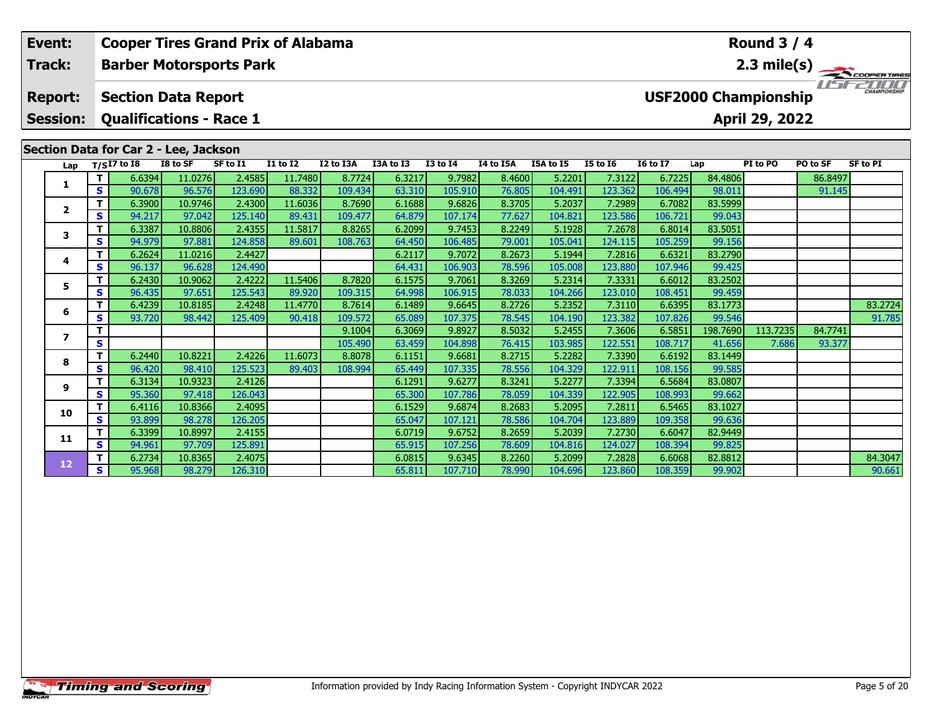| <b>Cooper Tires Grand Prix of Alabama</b><br>Round $3/4$<br>Event: |                       |                                       |                   |                                |                   |                   |                  |                   |                  |                   |                   |                   |                   |                             |          |                       |
|--------------------------------------------------------------------|-----------------------|---------------------------------------|-------------------|--------------------------------|-------------------|-------------------|------------------|-------------------|------------------|-------------------|-------------------|-------------------|-------------------|-----------------------------|----------|-----------------------|
| Track:                                                             |                       |                                       |                   | <b>Barber Motorsports Park</b> |                   |                   |                  |                   |                  |                   |                   |                   |                   |                             |          | $2.3 \text{ mile(s)}$ |
| <b>Report:</b>                                                     |                       | <b>Section Data Report</b>            |                   |                                |                   |                   |                  |                   |                  |                   |                   |                   |                   | <b>USF2000 Championship</b> |          | CHAMPIONSHIP          |
| <b>Session:</b>                                                    |                       | <b>Qualifications - Race 1</b>        |                   |                                |                   |                   |                  |                   |                  |                   |                   |                   |                   | April 29, 2022              |          |                       |
|                                                                    |                       | Section Data for Car 2 - Lee, Jackson |                   |                                |                   |                   |                  |                   |                  |                   |                   |                   |                   |                             |          |                       |
| Lap                                                                |                       | $T/SI7$ to I8                         | I8 to SF          | SF to I1                       | <b>I1 to I2</b>   | I2 to I3A         | I3A to I3        | <b>I3 to I4</b>   | I4 to I5A        | I5A to I5         | <b>I5 to 16</b>   | <b>16 to 17</b>   | Lap               | PI to PO                    | PO to SF | <b>SF to PI</b>       |
| 1.                                                                 |                       | 6.6394                                | 11.0276           | 2.4585                         | 11.7480           | 8.7724            | 6.3217           | 9.7982            | 8.4600           | 5.2201            | 7.3122            | 6.7225            | 84.4806           |                             | 86.8497  |                       |
|                                                                    | S.                    | 90.678                                | 96.576            | 123.690                        | 88.332            | 109.434           | 63.310           | 105.910           | 76.805           | 104.491           | 123.362           | 106.494           | 98.011            |                             | 91.145   |                       |
| 2                                                                  |                       | 6.3900                                | 10.9746           | 2.4300                         | 11.6036           | 8.7690            | 6.1688           | 9.6826            | 8.3705           | 5.2037            | 7.2989            | 6.7082            | 83.5999           |                             |          |                       |
|                                                                    | S<br>T.               | 94.217                                | 97.042            | 125.140                        | 89.431            | 109.477           | 64.879           | 107.174           | 77.627           | 104.821           | 123.586           | 106.721           | 99.043            |                             |          |                       |
| 3                                                                  | S.                    | 6.3387<br>94.979                      | 10.8806<br>97.881 | 2.4355<br>124.858              | 11.5817<br>89.601 | 8.8265<br>108.763 | 6.2099<br>64.450 | 9.7453            | 8.2249<br>79.001 | 5.1928<br>105.041 | 7.2678<br>124.115 | 6.8014<br>105.259 | 83.5051<br>99.156 |                             |          |                       |
|                                                                    |                       | 6.2624                                | 11.0216           | 2.4427                         |                   |                   | 6.2117           | 106.485<br>9.7072 | 8.2673           | 5.1944            | 7.2816            | 6.6321            | 83.2790           |                             |          |                       |
| 4                                                                  | <b>S</b>              | 96.137                                | 96.628            | 124.490                        |                   |                   | 64.431           | 106.903           | 78.596           | 105.008           | 123.880           | 107.946           | 99.425            |                             |          |                       |
|                                                                    |                       | 6.2430                                | 10.9062           | 2.4222                         | 11.5406           | 8.7820            | 6.1575           | 9.7061            | 8.3269           | 5.2314            | 7.3331            | 6.6012            | 83.2502           |                             |          |                       |
| 5                                                                  | S.                    | 96.435                                | 97.651            | 125.543                        | 89.920            | 109.315           | 64.998           | 106.915           | 78.033           | 104.266           | 123.010           | 108.451           | 99.459            |                             |          |                       |
|                                                                    | T.                    | 6.4239                                | 10.8185           | 2.4248                         | 11.4770           | 8.7614            | 6.1489           | 9.6645            | 8.2726           | 5.2352            | 7.3110            | 6.6395            | 83.1773           |                             |          | 83.2724               |
| 6                                                                  | S                     |                                       |                   | 125.409                        | 90.418            | 109.572           | 65.089           | 107.375           | 78.545           | 104.190           | 123.382           | 107.826           | 99.546            |                             |          | 91.785                |
|                                                                    | 93.720<br>98.442<br>т |                                       |                   | 9.1004                         | 6.3069            | 9.8927            | 8.5032           | 5.2455            | 7.3606           | 6.5851            | 198.7690          | 113.7235          | 84.7741           |                             |          |                       |
| $\overline{ }$                                                     | S                     |                                       |                   |                                |                   | 105.490           | 63.459           | 104.898           | 76.415           | 103.985           | 122.551           | 108.717           | 41.656            | 7.686                       | 93.377   |                       |
|                                                                    | T.                    | 6.2440                                | 10.8221           | 2.4226                         | 11.6073           | 8.8078            | 6.1151           | 9.6681            | 8.2715           | 5.2282            | 7.3390            | 6.6192            | 83.1449           |                             |          |                       |
| 8                                                                  | S.<br>96.420          | 98.410                                | 125.523           | 89.403                         | 108.994           | 65.449            | 107.335          | 78.556            | 104.329          | 122.911           | 108.156           | 99.585            |                   |                             |          |                       |
|                                                                    | т                     | 6.3134                                | 10.9323           | 2.4126                         |                   |                   | 6.1291           | 9.6277            | 8.3241           | 5.2277            | 7.3394            | 6.5684            | 83.0807           |                             |          |                       |
| 9                                                                  | S.                    | 95.360                                | 97.418            | 126.043                        |                   |                   | 65.300           | 107.786           | 78.059           | 104.339           | 122.905           | 108.9931          | 99.662            |                             |          |                       |

**<sup>T</sup>** 6.4116 10.8366 2.4095 6.1529 9.6874 8.2683 5.2095 7.2811 6.5465 83.1027 **<sup>S</sup>** 93.899 98.278 126.205 65.047 107.121 78.586 104.704 123.889 109.358 99.636

**<sup>T</sup>** 6.3399 10.8997 2.4155 6.0719 9.6752 8.2659 5.2039 7.2730 6.6047 82.9449 **<sup>S</sup>** 94.961 97.709 125.891 65.915 107.256 78.609 104.816 124.027 108.394 99.825

**10**

**11**

**12**

**<sup>T</sup>** 6.2734 10.8365 2.4075 6.0815 9.6345 8.2260 5.2099 7.2828 6.6068 82.8812 84.3047 **<sup>S</sup>** 95.968 98.279 126.310 65.811 107.710 78.990 104.696 123.860 108.359 99.902 90.661

90.661

82.9449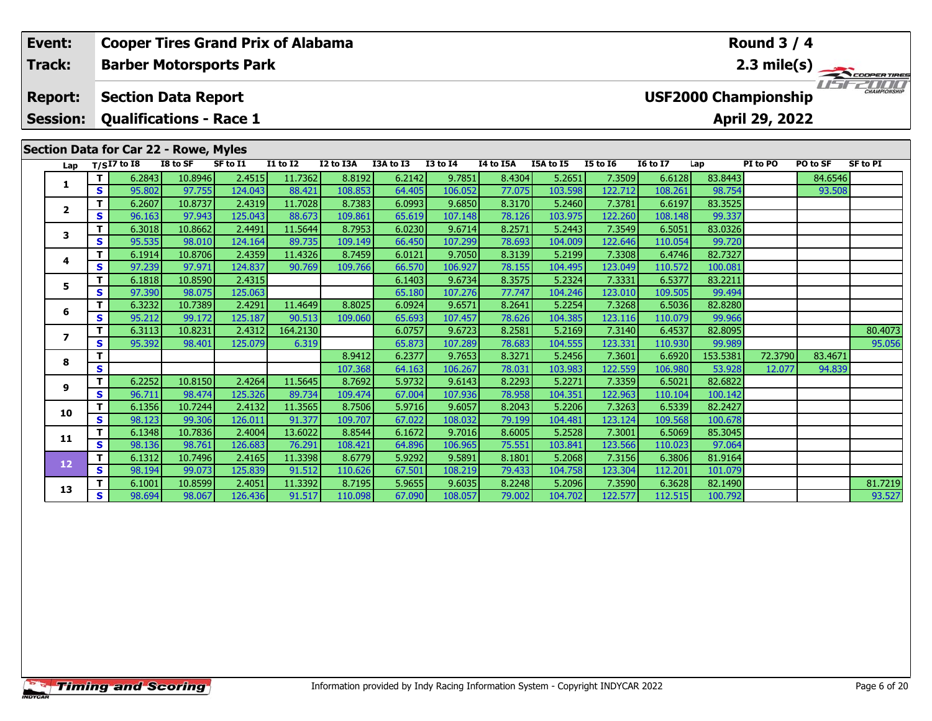| 2.3 mile(s)<br><b>Barber Motorsports Park</b><br>Track:<br>CHAMPIONSHIP<br><b>USF2000 Championship</b><br><b>Section Data Report</b><br><b>Report:</b><br>April 29, 2022<br><b>Session:</b><br><b>Qualifications - Race 1</b><br>Section Data for Car 22 - Rowe, Myles<br>$T/SI7$ to $\overline{18}$<br>I8 to SF<br>SF to I1<br><b>I1 to I2</b><br>I2 to I3A<br>I3A to I3<br><b>I3 to I4</b><br>I4 to I5A<br>I5A to I5<br>PO to SF<br><b>I5 to 16</b><br><b>16 to 17</b><br>PI to PO<br>SF to PI<br>Lap<br>Lap<br>T<br>6.2843<br>10.8946<br>2.4515<br>11.7362<br>8.8192<br>9.7851<br>8.4304<br>5.2651<br>7.3509<br>6.6128<br>83.8443<br>6.2142<br>84.6546<br>1<br>124.043<br>77.075<br>97.755<br>88.421<br>106.052<br>103.598<br>98.754<br><b>S</b><br>95.802<br>108.853<br>64.405<br>122.712<br>108.261<br>93.508<br>83.3525<br>10.8737<br>2.4319<br>11.7028<br>9.6850<br>8.3170<br>7.3781<br>T.<br>6.2607<br>8.7383<br>6.0993<br>5.2460<br>6.6197<br>$\overline{2}$<br>S<br>125.043<br>88.673<br>78.126<br>99.337<br>96.163<br>97.943<br>109.861<br>107.148<br>103.975<br>122.260<br>108.148<br>65.619<br>T.<br>10.8662<br>2.4491<br>11.5644<br>6.0230<br>9.6714<br>8.2571<br>83.0326<br>8.7953<br>5.2443<br>7.3549<br>6.5051<br>6.3018<br>3<br>S.<br>124.164<br>89.735<br>78.693<br>99.720<br>95.535<br>98.010<br>109.149<br>66.450<br>107.299<br>104.009<br>122.646<br>110.054<br>82.7327<br>T.<br>10.8706<br>2.4359<br>11.4326<br>8.7459<br>9.7050<br>8.3139<br>7.3308<br>6.4746<br>6.1914<br>6.0121<br>5.2199<br>4<br>78.155<br><b>S</b><br>97.239<br>97.971<br>124.837<br>90.769<br>106.927<br>104.495<br>123.049<br>109.766<br>66.570<br>110.572<br>100.081<br>83.2211<br>10.8590<br>2.4315<br>9.6734<br>8.3575<br>5.2324<br>7.3331<br>6.5377<br>T.<br>6.1818<br>6.1403<br>5.<br>S<br>125.063<br>77.747<br>99.494<br>97.390<br>107.276<br>104.246<br>123.010<br>98.075<br>65.180<br>109.505<br>82.8280<br>т<br>10.7389<br>2.4291<br>11.4649<br>8.8025<br>6.0924<br>9.6571<br>8.2641<br>5.2254<br>7.3268<br>6.5036<br>6.3232<br>6<br>90.513<br>S<br>95.212<br>99.172<br>125.187<br>78.626<br>104.385<br>99.966<br>109.060<br>65.693<br>107.457<br>123.116<br>110.079<br>10.8231<br>2.4312<br>164.2130<br>9.6723<br>8.2581<br>82.8095<br>80.4073<br>T.<br>6.3113<br>6.0757<br>5.2169<br>7.3140<br>6.4537<br>$\overline{ }$<br>78.683<br>107.289<br>123.331<br>99.989<br>95.056<br><b>S</b><br>95.392<br>98.401<br>125.079<br>6.319<br>65.873<br>104.555<br>110.930<br>9.7653<br>153.5381<br>72.3790<br>83.4671<br>T<br>8.9412<br>8.3271<br>5.2456<br>7.3601<br>6.6920<br>6.2377<br>8<br>S<br>107.368<br>106.267<br>78.031<br>103.983<br>122.559<br>106.980<br>53.928<br>64.163<br>12.077<br>94.839<br>2.4264<br>82.6822<br>T.<br>10.8150<br>11.5645<br>8.7692<br>9.6143<br>5.2271<br>7.3359<br>6.2252<br>5.9732<br>8.2293<br>6.5021<br>9<br>S<br>125.326<br>89.734<br>78.958<br>104.351<br>122.963<br>96.711<br>98.474<br>109.474<br>67.004<br>107.936<br>110.104<br>100.142<br>82.2427<br>T<br>10.7244<br>2.4132<br>11.3565<br>8.7506<br>5.9716<br>9.6057<br>8.2043<br>7.3263<br>6.5339<br>6.1356<br>5.2206<br>10<br>79.199<br><b>S</b><br>98.123<br>99.306<br>126.011<br>91.377<br>109.707<br>67.022<br>108.032<br>104.481<br>123.124<br>109.568<br>100.678<br>T<br>2.4004<br>13.6022<br>9.7016<br>5.2528<br>85.3045<br>6.1348<br>10.7836<br>8.8544<br>6.1672<br>8.6005<br>7.3001<br>6.5069<br>11<br>97.064<br>126.683<br>76.291<br>75.551<br>103.841<br>123.566<br>S.<br>98.136<br>98.761<br>108.421<br>64.896<br>106.965<br>110.023<br>81.9164<br>10.7496<br>2.4165<br>11.3398<br>8.6779<br>5.9292<br>9.5891<br>8.1801<br>5.2068<br>7.3156<br>6.3806<br>T<br>6.1312 | Event: | <b>Cooper Tires Grand Prix of Alabama</b> |        |        |         |        |         |        |         |        |         |         |         |         | <b>Round 3 / 4</b> |  |
|-------------------------------------------------------------------------------------------------------------------------------------------------------------------------------------------------------------------------------------------------------------------------------------------------------------------------------------------------------------------------------------------------------------------------------------------------------------------------------------------------------------------------------------------------------------------------------------------------------------------------------------------------------------------------------------------------------------------------------------------------------------------------------------------------------------------------------------------------------------------------------------------------------------------------------------------------------------------------------------------------------------------------------------------------------------------------------------------------------------------------------------------------------------------------------------------------------------------------------------------------------------------------------------------------------------------------------------------------------------------------------------------------------------------------------------------------------------------------------------------------------------------------------------------------------------------------------------------------------------------------------------------------------------------------------------------------------------------------------------------------------------------------------------------------------------------------------------------------------------------------------------------------------------------------------------------------------------------------------------------------------------------------------------------------------------------------------------------------------------------------------------------------------------------------------------------------------------------------------------------------------------------------------------------------------------------------------------------------------------------------------------------------------------------------------------------------------------------------------------------------------------------------------------------------------------------------------------------------------------------------------------------------------------------------------------------------------------------------------------------------------------------------------------------------------------------------------------------------------------------------------------------------------------------------------------------------------------------------------------------------------------------------------------------------------------------------------------------------------------------------------------------------------------------------------------------------------------------------------------------------------------------------------------------------------------------------------------------------------------------------------------------------------------------------------------------------------------------------------------------------------------------------------------------------------------------------------------------------------------------------------------------------------------------------------|--------|-------------------------------------------|--------|--------|---------|--------|---------|--------|---------|--------|---------|---------|---------|---------|--------------------|--|
|                                                                                                                                                                                                                                                                                                                                                                                                                                                                                                                                                                                                                                                                                                                                                                                                                                                                                                                                                                                                                                                                                                                                                                                                                                                                                                                                                                                                                                                                                                                                                                                                                                                                                                                                                                                                                                                                                                                                                                                                                                                                                                                                                                                                                                                                                                                                                                                                                                                                                                                                                                                                                                                                                                                                                                                                                                                                                                                                                                                                                                                                                                                                                                                                                                                                                                                                                                                                                                                                                                                                                                                                                                                                               |        |                                           |        |        |         |        |         |        |         |        |         |         |         |         |                    |  |
|                                                                                                                                                                                                                                                                                                                                                                                                                                                                                                                                                                                                                                                                                                                                                                                                                                                                                                                                                                                                                                                                                                                                                                                                                                                                                                                                                                                                                                                                                                                                                                                                                                                                                                                                                                                                                                                                                                                                                                                                                                                                                                                                                                                                                                                                                                                                                                                                                                                                                                                                                                                                                                                                                                                                                                                                                                                                                                                                                                                                                                                                                                                                                                                                                                                                                                                                                                                                                                                                                                                                                                                                                                                                               |        |                                           |        |        |         |        |         |        |         |        |         |         |         |         |                    |  |
|                                                                                                                                                                                                                                                                                                                                                                                                                                                                                                                                                                                                                                                                                                                                                                                                                                                                                                                                                                                                                                                                                                                                                                                                                                                                                                                                                                                                                                                                                                                                                                                                                                                                                                                                                                                                                                                                                                                                                                                                                                                                                                                                                                                                                                                                                                                                                                                                                                                                                                                                                                                                                                                                                                                                                                                                                                                                                                                                                                                                                                                                                                                                                                                                                                                                                                                                                                                                                                                                                                                                                                                                                                                                               |        |                                           |        |        |         |        |         |        |         |        |         |         |         |         |                    |  |
|                                                                                                                                                                                                                                                                                                                                                                                                                                                                                                                                                                                                                                                                                                                                                                                                                                                                                                                                                                                                                                                                                                                                                                                                                                                                                                                                                                                                                                                                                                                                                                                                                                                                                                                                                                                                                                                                                                                                                                                                                                                                                                                                                                                                                                                                                                                                                                                                                                                                                                                                                                                                                                                                                                                                                                                                                                                                                                                                                                                                                                                                                                                                                                                                                                                                                                                                                                                                                                                                                                                                                                                                                                                                               |        |                                           |        |        |         |        |         |        |         |        |         |         |         |         |                    |  |
|                                                                                                                                                                                                                                                                                                                                                                                                                                                                                                                                                                                                                                                                                                                                                                                                                                                                                                                                                                                                                                                                                                                                                                                                                                                                                                                                                                                                                                                                                                                                                                                                                                                                                                                                                                                                                                                                                                                                                                                                                                                                                                                                                                                                                                                                                                                                                                                                                                                                                                                                                                                                                                                                                                                                                                                                                                                                                                                                                                                                                                                                                                                                                                                                                                                                                                                                                                                                                                                                                                                                                                                                                                                                               |        |                                           |        |        |         |        |         |        |         |        |         |         |         |         |                    |  |
|                                                                                                                                                                                                                                                                                                                                                                                                                                                                                                                                                                                                                                                                                                                                                                                                                                                                                                                                                                                                                                                                                                                                                                                                                                                                                                                                                                                                                                                                                                                                                                                                                                                                                                                                                                                                                                                                                                                                                                                                                                                                                                                                                                                                                                                                                                                                                                                                                                                                                                                                                                                                                                                                                                                                                                                                                                                                                                                                                                                                                                                                                                                                                                                                                                                                                                                                                                                                                                                                                                                                                                                                                                                                               |        |                                           |        |        |         |        |         |        |         |        |         |         |         |         |                    |  |
|                                                                                                                                                                                                                                                                                                                                                                                                                                                                                                                                                                                                                                                                                                                                                                                                                                                                                                                                                                                                                                                                                                                                                                                                                                                                                                                                                                                                                                                                                                                                                                                                                                                                                                                                                                                                                                                                                                                                                                                                                                                                                                                                                                                                                                                                                                                                                                                                                                                                                                                                                                                                                                                                                                                                                                                                                                                                                                                                                                                                                                                                                                                                                                                                                                                                                                                                                                                                                                                                                                                                                                                                                                                                               |        |                                           |        |        |         |        |         |        |         |        |         |         |         |         |                    |  |
|                                                                                                                                                                                                                                                                                                                                                                                                                                                                                                                                                                                                                                                                                                                                                                                                                                                                                                                                                                                                                                                                                                                                                                                                                                                                                                                                                                                                                                                                                                                                                                                                                                                                                                                                                                                                                                                                                                                                                                                                                                                                                                                                                                                                                                                                                                                                                                                                                                                                                                                                                                                                                                                                                                                                                                                                                                                                                                                                                                                                                                                                                                                                                                                                                                                                                                                                                                                                                                                                                                                                                                                                                                                                               |        |                                           |        |        |         |        |         |        |         |        |         |         |         |         |                    |  |
|                                                                                                                                                                                                                                                                                                                                                                                                                                                                                                                                                                                                                                                                                                                                                                                                                                                                                                                                                                                                                                                                                                                                                                                                                                                                                                                                                                                                                                                                                                                                                                                                                                                                                                                                                                                                                                                                                                                                                                                                                                                                                                                                                                                                                                                                                                                                                                                                                                                                                                                                                                                                                                                                                                                                                                                                                                                                                                                                                                                                                                                                                                                                                                                                                                                                                                                                                                                                                                                                                                                                                                                                                                                                               |        |                                           |        |        |         |        |         |        |         |        |         |         |         |         |                    |  |
|                                                                                                                                                                                                                                                                                                                                                                                                                                                                                                                                                                                                                                                                                                                                                                                                                                                                                                                                                                                                                                                                                                                                                                                                                                                                                                                                                                                                                                                                                                                                                                                                                                                                                                                                                                                                                                                                                                                                                                                                                                                                                                                                                                                                                                                                                                                                                                                                                                                                                                                                                                                                                                                                                                                                                                                                                                                                                                                                                                                                                                                                                                                                                                                                                                                                                                                                                                                                                                                                                                                                                                                                                                                                               |        |                                           |        |        |         |        |         |        |         |        |         |         |         |         |                    |  |
|                                                                                                                                                                                                                                                                                                                                                                                                                                                                                                                                                                                                                                                                                                                                                                                                                                                                                                                                                                                                                                                                                                                                                                                                                                                                                                                                                                                                                                                                                                                                                                                                                                                                                                                                                                                                                                                                                                                                                                                                                                                                                                                                                                                                                                                                                                                                                                                                                                                                                                                                                                                                                                                                                                                                                                                                                                                                                                                                                                                                                                                                                                                                                                                                                                                                                                                                                                                                                                                                                                                                                                                                                                                                               |        |                                           |        |        |         |        |         |        |         |        |         |         |         |         |                    |  |
|                                                                                                                                                                                                                                                                                                                                                                                                                                                                                                                                                                                                                                                                                                                                                                                                                                                                                                                                                                                                                                                                                                                                                                                                                                                                                                                                                                                                                                                                                                                                                                                                                                                                                                                                                                                                                                                                                                                                                                                                                                                                                                                                                                                                                                                                                                                                                                                                                                                                                                                                                                                                                                                                                                                                                                                                                                                                                                                                                                                                                                                                                                                                                                                                                                                                                                                                                                                                                                                                                                                                                                                                                                                                               |        |                                           |        |        |         |        |         |        |         |        |         |         |         |         |                    |  |
|                                                                                                                                                                                                                                                                                                                                                                                                                                                                                                                                                                                                                                                                                                                                                                                                                                                                                                                                                                                                                                                                                                                                                                                                                                                                                                                                                                                                                                                                                                                                                                                                                                                                                                                                                                                                                                                                                                                                                                                                                                                                                                                                                                                                                                                                                                                                                                                                                                                                                                                                                                                                                                                                                                                                                                                                                                                                                                                                                                                                                                                                                                                                                                                                                                                                                                                                                                                                                                                                                                                                                                                                                                                                               |        |                                           |        |        |         |        |         |        |         |        |         |         |         |         |                    |  |
|                                                                                                                                                                                                                                                                                                                                                                                                                                                                                                                                                                                                                                                                                                                                                                                                                                                                                                                                                                                                                                                                                                                                                                                                                                                                                                                                                                                                                                                                                                                                                                                                                                                                                                                                                                                                                                                                                                                                                                                                                                                                                                                                                                                                                                                                                                                                                                                                                                                                                                                                                                                                                                                                                                                                                                                                                                                                                                                                                                                                                                                                                                                                                                                                                                                                                                                                                                                                                                                                                                                                                                                                                                                                               |        |                                           |        |        |         |        |         |        |         |        |         |         |         |         |                    |  |
|                                                                                                                                                                                                                                                                                                                                                                                                                                                                                                                                                                                                                                                                                                                                                                                                                                                                                                                                                                                                                                                                                                                                                                                                                                                                                                                                                                                                                                                                                                                                                                                                                                                                                                                                                                                                                                                                                                                                                                                                                                                                                                                                                                                                                                                                                                                                                                                                                                                                                                                                                                                                                                                                                                                                                                                                                                                                                                                                                                                                                                                                                                                                                                                                                                                                                                                                                                                                                                                                                                                                                                                                                                                                               |        |                                           |        |        |         |        |         |        |         |        |         |         |         |         |                    |  |
|                                                                                                                                                                                                                                                                                                                                                                                                                                                                                                                                                                                                                                                                                                                                                                                                                                                                                                                                                                                                                                                                                                                                                                                                                                                                                                                                                                                                                                                                                                                                                                                                                                                                                                                                                                                                                                                                                                                                                                                                                                                                                                                                                                                                                                                                                                                                                                                                                                                                                                                                                                                                                                                                                                                                                                                                                                                                                                                                                                                                                                                                                                                                                                                                                                                                                                                                                                                                                                                                                                                                                                                                                                                                               |        |                                           |        |        |         |        |         |        |         |        |         |         |         |         |                    |  |
|                                                                                                                                                                                                                                                                                                                                                                                                                                                                                                                                                                                                                                                                                                                                                                                                                                                                                                                                                                                                                                                                                                                                                                                                                                                                                                                                                                                                                                                                                                                                                                                                                                                                                                                                                                                                                                                                                                                                                                                                                                                                                                                                                                                                                                                                                                                                                                                                                                                                                                                                                                                                                                                                                                                                                                                                                                                                                                                                                                                                                                                                                                                                                                                                                                                                                                                                                                                                                                                                                                                                                                                                                                                                               |        |                                           |        |        |         |        |         |        |         |        |         |         |         |         |                    |  |
|                                                                                                                                                                                                                                                                                                                                                                                                                                                                                                                                                                                                                                                                                                                                                                                                                                                                                                                                                                                                                                                                                                                                                                                                                                                                                                                                                                                                                                                                                                                                                                                                                                                                                                                                                                                                                                                                                                                                                                                                                                                                                                                                                                                                                                                                                                                                                                                                                                                                                                                                                                                                                                                                                                                                                                                                                                                                                                                                                                                                                                                                                                                                                                                                                                                                                                                                                                                                                                                                                                                                                                                                                                                                               |        |                                           |        |        |         |        |         |        |         |        |         |         |         |         |                    |  |
|                                                                                                                                                                                                                                                                                                                                                                                                                                                                                                                                                                                                                                                                                                                                                                                                                                                                                                                                                                                                                                                                                                                                                                                                                                                                                                                                                                                                                                                                                                                                                                                                                                                                                                                                                                                                                                                                                                                                                                                                                                                                                                                                                                                                                                                                                                                                                                                                                                                                                                                                                                                                                                                                                                                                                                                                                                                                                                                                                                                                                                                                                                                                                                                                                                                                                                                                                                                                                                                                                                                                                                                                                                                                               |        |                                           |        |        |         |        |         |        |         |        |         |         |         |         |                    |  |
|                                                                                                                                                                                                                                                                                                                                                                                                                                                                                                                                                                                                                                                                                                                                                                                                                                                                                                                                                                                                                                                                                                                                                                                                                                                                                                                                                                                                                                                                                                                                                                                                                                                                                                                                                                                                                                                                                                                                                                                                                                                                                                                                                                                                                                                                                                                                                                                                                                                                                                                                                                                                                                                                                                                                                                                                                                                                                                                                                                                                                                                                                                                                                                                                                                                                                                                                                                                                                                                                                                                                                                                                                                                                               |        |                                           |        |        |         |        |         |        |         |        |         |         |         |         |                    |  |
|                                                                                                                                                                                                                                                                                                                                                                                                                                                                                                                                                                                                                                                                                                                                                                                                                                                                                                                                                                                                                                                                                                                                                                                                                                                                                                                                                                                                                                                                                                                                                                                                                                                                                                                                                                                                                                                                                                                                                                                                                                                                                                                                                                                                                                                                                                                                                                                                                                                                                                                                                                                                                                                                                                                                                                                                                                                                                                                                                                                                                                                                                                                                                                                                                                                                                                                                                                                                                                                                                                                                                                                                                                                                               |        |                                           |        |        |         |        |         |        |         |        |         |         |         |         |                    |  |
|                                                                                                                                                                                                                                                                                                                                                                                                                                                                                                                                                                                                                                                                                                                                                                                                                                                                                                                                                                                                                                                                                                                                                                                                                                                                                                                                                                                                                                                                                                                                                                                                                                                                                                                                                                                                                                                                                                                                                                                                                                                                                                                                                                                                                                                                                                                                                                                                                                                                                                                                                                                                                                                                                                                                                                                                                                                                                                                                                                                                                                                                                                                                                                                                                                                                                                                                                                                                                                                                                                                                                                                                                                                                               |        |                                           |        |        |         |        |         |        |         |        |         |         |         |         |                    |  |
|                                                                                                                                                                                                                                                                                                                                                                                                                                                                                                                                                                                                                                                                                                                                                                                                                                                                                                                                                                                                                                                                                                                                                                                                                                                                                                                                                                                                                                                                                                                                                                                                                                                                                                                                                                                                                                                                                                                                                                                                                                                                                                                                                                                                                                                                                                                                                                                                                                                                                                                                                                                                                                                                                                                                                                                                                                                                                                                                                                                                                                                                                                                                                                                                                                                                                                                                                                                                                                                                                                                                                                                                                                                                               |        |                                           |        |        |         |        |         |        |         |        |         |         |         |         |                    |  |
|                                                                                                                                                                                                                                                                                                                                                                                                                                                                                                                                                                                                                                                                                                                                                                                                                                                                                                                                                                                                                                                                                                                                                                                                                                                                                                                                                                                                                                                                                                                                                                                                                                                                                                                                                                                                                                                                                                                                                                                                                                                                                                                                                                                                                                                                                                                                                                                                                                                                                                                                                                                                                                                                                                                                                                                                                                                                                                                                                                                                                                                                                                                                                                                                                                                                                                                                                                                                                                                                                                                                                                                                                                                                               |        |                                           |        |        |         |        |         |        |         |        |         |         |         |         |                    |  |
|                                                                                                                                                                                                                                                                                                                                                                                                                                                                                                                                                                                                                                                                                                                                                                                                                                                                                                                                                                                                                                                                                                                                                                                                                                                                                                                                                                                                                                                                                                                                                                                                                                                                                                                                                                                                                                                                                                                                                                                                                                                                                                                                                                                                                                                                                                                                                                                                                                                                                                                                                                                                                                                                                                                                                                                                                                                                                                                                                                                                                                                                                                                                                                                                                                                                                                                                                                                                                                                                                                                                                                                                                                                                               |        |                                           |        |        |         |        |         |        |         |        |         |         |         |         |                    |  |
|                                                                                                                                                                                                                                                                                                                                                                                                                                                                                                                                                                                                                                                                                                                                                                                                                                                                                                                                                                                                                                                                                                                                                                                                                                                                                                                                                                                                                                                                                                                                                                                                                                                                                                                                                                                                                                                                                                                                                                                                                                                                                                                                                                                                                                                                                                                                                                                                                                                                                                                                                                                                                                                                                                                                                                                                                                                                                                                                                                                                                                                                                                                                                                                                                                                                                                                                                                                                                                                                                                                                                                                                                                                                               | $12$   | <b>S</b>                                  | 98.194 | 99.073 | 125.839 | 91.512 | 110.626 | 67.501 | 108.219 | 79.433 | 104.758 | 123.304 | 112.201 | 101.079 |                    |  |

**13**

**<sup>T</sup>** 6.1001 10.8599 2.4051 11.3392 8.7195 5.9655 9.6035 8.2248 5.2096 7.3590 6.3628 82.1490 81.7219 **<sup>S</sup>** 98.694 98.067 126.436 91.517 110.098 67.090 108.057 79.002 104.702 122.577 112.515 100.792 93.527

93.527

101.079<br>82.1490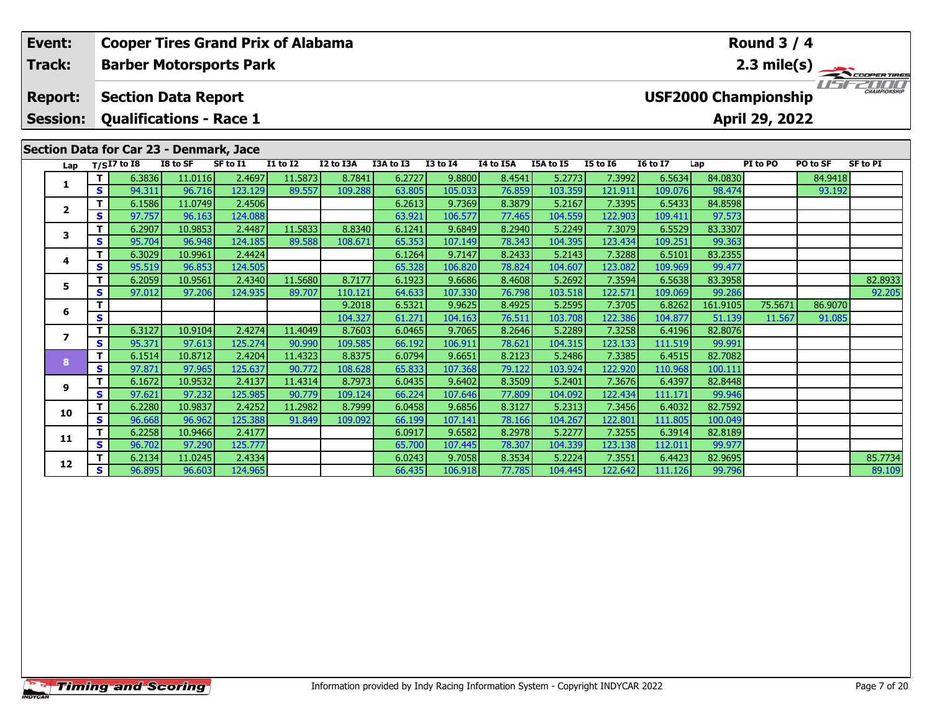| <b>Cooper Tires Grand Prix of Alabama</b><br>Event: |                 |             |                                                            |          |                                | <b>Round 3 / 4</b> |                  |                   |                 |                   |           |                   |                    |                   |                             |          |                       |
|-----------------------------------------------------|-----------------|-------------|------------------------------------------------------------|----------|--------------------------------|--------------------|------------------|-------------------|-----------------|-------------------|-----------|-------------------|--------------------|-------------------|-----------------------------|----------|-----------------------|
|                                                     | Track:          |             |                                                            |          | <b>Barber Motorsports Park</b> |                    |                  |                   |                 |                   |           |                   |                    |                   |                             |          | $2.3 \text{ mile(s)}$ |
|                                                     | <b>Report:</b>  |             | <b>Section Data Report</b>                                 |          |                                |                    |                  |                   |                 |                   |           |                   |                    |                   | <b>USF2000 Championship</b> |          |                       |
|                                                     | <b>Session:</b> |             | <b>Qualifications - Race 1</b>                             |          |                                |                    |                  |                   |                 |                   |           |                   |                    |                   | April 29, 2022              |          |                       |
|                                                     | Lap             |             | Section Data for Car 23 - Denmark, Jace<br>$T/SI7$ to $I8$ | I8 to SF | SF to I1                       | <b>I1 to I2</b>    | I2 to I3A        | I3A to I3         | <b>I3 to I4</b> | I4 to I5A         | I5A to I5 | <b>I5 to I6</b>   | <b>16 to 17</b>    | Lap               | PI to PO                    | PO to SF | SF to PI              |
|                                                     |                 |             | 6.3836                                                     | 11.0116  | 2.4697                         | 11.5873            | 8.7841           | 6.2727            | 9.8800          | 8.4541            | 5.2773    | 7.3992            | 6.5634             | 84.0830           |                             | 84.9418  |                       |
|                                                     |                 | S.          | 94.311                                                     | 96.716   | 123.129                        | 89.557             | 109.288          | 63.805            | 105.033         | 76.859            | 103.359   | 121.911           | 109.076            | 98.474            |                             | 93.192   |                       |
|                                                     | $\overline{2}$  |             | 6.1586                                                     | 11.0749  | 2.4506                         |                    |                  | 6.2613            | 9.7369          | 8.3879            | 5.2167    | 7.3395            | 6.5433             | 84.8598           |                             |          |                       |
|                                                     |                 | S.          | 97.757                                                     | 96.163   | 124.088                        |                    |                  | 63.921            | 106.577         | 77.465            | 104.559   | 122.903           | 109.411            | 97.573            |                             |          |                       |
|                                                     | 3               | Τ.          | 6.2907                                                     | 10.9853  | 2.4487                         | 11.5833            | 8.8340           | 6.1241            | 9.6849          | 8.2940            | 5.2249    | 7.3079            | 6.5529             | 83.3307           |                             |          |                       |
|                                                     |                 | S.          | 95.704                                                     | 96.948   | 124.185                        | 89.588             | 108.671          | 65.353            | 107.149         | 78.343            | 104.395   | 123.434           | 109.251            | 99.363            |                             |          |                       |
|                                                     | 4               |             | 6.3029                                                     | 10.9961  | 2.4424                         |                    |                  | 6.1264            | 9.7147          | 8.2433            | 5.2143    | 7.3288            | 6.5101             | 83.2355           |                             |          |                       |
|                                                     |                 | S.          | 95.519                                                     | 96.853   | 124.505                        |                    |                  | 65.328            | 106.820         | 78.824            | 104.607   | 123.082           | 109.969            | 99.477            |                             |          |                       |
|                                                     | 5               | Τ.<br>S.    | 6.2059                                                     | 10.9561  | 2.4340                         | 11.5680            | 8.7177           | 6.1923            | 9.6686          | 8.4608            | 5.2692    | 7.3594            | 6.5638             | 83.3958           |                             |          | 82.8933               |
|                                                     |                 |             | 97.012                                                     | 97.206   | 124.935                        | 89.707             | 110.121          | 64.633            | 107.330         | 76.798<br>8.4925  | 103.518   | 122.571<br>7.3705 | 109.069            | 99.286            |                             |          | 92.205                |
|                                                     | 6               |             |                                                            |          |                                | 9.2018<br>104.327  | 6.5321<br>61.271 | 9.9625<br>104.163 | 76.511          | 5.2595<br>103.708 | 122.386   | 6.8262<br>104.877 | 161.9105<br>51.139 | 75.5671<br>11.567 | 86.9070<br>91.085           |          |                       |
|                                                     |                 | S<br>6.3127 |                                                            | 10.9104  | 2.4274                         | 11.4049            | 8.7603           | 6.0465            | 9.7065          | 8.2646            | 5.2289    | 7.3258            | 6.4196             | 82.8076           |                             |          |                       |
|                                                     |                 | S.          | 95.371                                                     | 97.613   | 125.274                        | 90.990             | 109.585          | 66.192            | 106.911         | 78.621            | 104.315   | 123.133           | 111.519            | 99.991            |                             |          |                       |

**<sup>T</sup>** 6.1514 10.8712 2.4204 11.4323 8.8375 6.0794 9.6651 8.2123 5.2486 7.3385 6.4515 82.7082 **<sup>S</sup>** 97.871 97.965 125.637 90.772 108.628 65.833 107.368 79.122 103.924 122.920 110.968 100.111

**<sup>T</sup>** 6.1672 10.9532 2.4137 11.4314 8.7973 6.0435 9.6402 8.3509 5.2401 7.3676 6.4397 82.8448 **<sup>S</sup>** 97.621 97.232 125.985 90.779 109.124 66.224 107.646 77.809 104.092 122.434 111.171 99.946

**<sup>T</sup>** 6.2280 10.9837 2.4252 11.2982 8.7999 6.0458 9.6856 8.3127 5.2313 7.3456 6.4032 82.7592 **<sup>S</sup>** 96.668 96.962 125.388 91.849 109.092 66.199 107.141 78.166 104.267 122.801 111.805 100.049

**<sup>T</sup>** 6.2258 10.9466 2.4177 6.0917 9.6582 8.2978 5.2277 7.3255 6.3914 82.8189 **<sup>S</sup>** 96.702 97.290 125.777 65.700 107.445 78.307 104.339 123.138 112.011 99.977

**8**

**9**

**10**

**11**

**12**

**<sup>T</sup>** 6.2134 11.0245 2.4334 6.0243 9.7058 8.3534 5.2224 7.3551 6.4423 82.9695 85.7734 **<sup>S</sup>** 96.895 96.603 124.965 66.435 106.918 77.785 104.445 122.642 111.126 99.796 89.109

89.109

99.991

99.946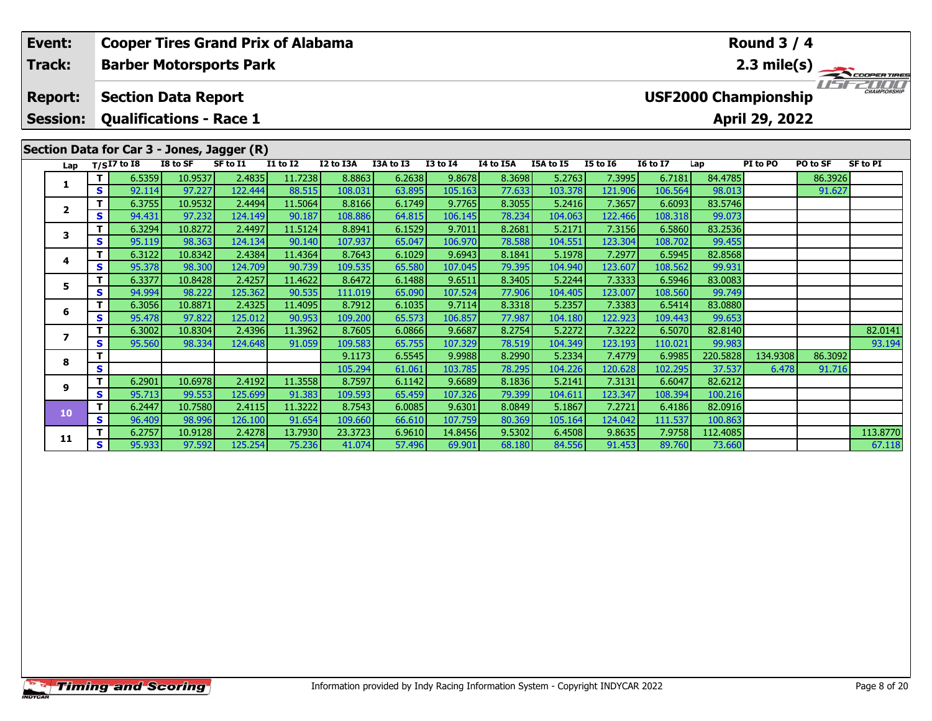|  | Event:              | <b>Cooper Tires Grand Prix of Alabama</b> |                                            |                   |                   |                   |                   |                  |                   |                  |                   |                   | <b>Round 3 / 4</b> |                             |                |          |                       |
|--|---------------------|-------------------------------------------|--------------------------------------------|-------------------|-------------------|-------------------|-------------------|------------------|-------------------|------------------|-------------------|-------------------|--------------------|-----------------------------|----------------|----------|-----------------------|
|  | <b>Track:</b>       |                                           | <b>Barber Motorsports Park</b>             |                   |                   |                   |                   |                  |                   |                  |                   |                   |                    |                             |                |          | $2.3 \text{ mile(s)}$ |
|  | <b>Report:</b>      |                                           | <b>Section Data Report</b>                 |                   |                   |                   |                   |                  |                   |                  |                   |                   |                    | <b>USF2000 Championship</b> |                |          | CHAMPIONSHIP          |
|  | <b>Session:</b>     |                                           | <b>Qualifications - Race 1</b>             |                   |                   |                   |                   |                  |                   |                  |                   |                   |                    |                             | April 29, 2022 |          |                       |
|  |                     |                                           | Section Data for Car 3 - Jones, Jagger (R) |                   |                   |                   |                   |                  |                   |                  |                   |                   |                    |                             |                |          |                       |
|  | Lap                 |                                           | $T/SI7$ to I8                              | I8 to SF          | SF to I1          | <b>I1 to I2</b>   | I2 to I3A         | I3A to I3        | <b>I3 to I4</b>   | I4 to I5A        | I5A to I5         | <b>I5 to 16</b>   | <b>16 to 17</b>    | Lap                         | PI to PO       | PO to SF | SF to PI              |
|  | 1                   | T.<br>S                                   | 6.5359                                     | 10.9537           | 2.4835            | 11.7238<br>88.515 | 8.8863            | 6.2638           | 9.8678            | 8.3698           | 5.2763            | 7.3995            | 6.7181<br>106.564  | 84.4785<br>98.013           |                | 86.3926  |                       |
|  |                     | T.                                        | 92.114<br>6.3755                           | 97.227<br>10.9532 | 122.444<br>2.4494 | 11.5064           | 108.031<br>8.8166 | 63.895<br>6.1749 | 105.163<br>9.7765 | 77.633<br>8.3055 | 103.378<br>5.2416 | 121.906<br>7.3657 | 6.6093             | 83.5746                     |                | 91.627   |                       |
|  | $\mathbf{2}$        | S.                                        | 94.431                                     | 97.232            | 124.149           | 90.187            | 108.886           | 64.815           | 106.145           | 78.234           | 104.063           | 122.466           | 108.318            | 99.073                      |                |          |                       |
|  |                     | T.                                        | 6.3294                                     | 10.8272           | 2.4497            | 11.5124           | 8.8941            | 6.1529           | 9.7011            | 8.2681           | 5.2171            | 7.3156            | 6.5860             | 83.2536                     |                |          |                       |
|  | 3                   | <b>S</b>                                  | 95.119                                     | 98.363            | 124.134           | 90.140            | 107.937           | 65.047           | 106.970           | 78.588           | 104.551           | 123.304           | 108.702            | 99.455                      |                |          |                       |
|  | 4                   | T.                                        | 6.3122                                     | 10.8342           | 2.4384            | 11.4364           | 8.7643            | 6.1029           | 9.6943            | 8.1841           | 5.1978            | 7.2977            | 6.5945             | 82.8568                     |                |          |                       |
|  |                     | S.                                        | 95.378                                     | 98.300            | 124.709           | 90.739            | 109.535           | 65.580           | 107.045           | 79.395           | 104.940           | 123.607           | 108.562            | 99.931                      |                |          |                       |
|  | 5                   | T.                                        | 6.3377                                     | 10.8428           | 2.4257            | 11.4622           | 8.6472            | 6.1488           | 9.6511            | 8.3405           | 5.2244            | 7.3333            | 6.5946             | 83.0083                     |                |          |                       |
|  |                     | S.<br>T.                                  | 94.994<br>6.3056                           | 98.222<br>10.8871 | 125.362<br>2.4325 | 90.535<br>11.4095 | 111.019<br>8.7912 | 65.090<br>6.1035 | 107.524<br>9.7114 | 77.906<br>8.3318 | 104.405<br>5.2357 | 123.007<br>7.3383 | 108.560<br>6.5414  | 99.749<br>83.0880           |                |          |                       |
|  | 6                   | <b>S</b>                                  | 95.478                                     | 97.822            | 125.012           | 90.953            | 109.200           | 65.573           | 106.857           | 77.987           | 104.180           | 122.923           | 109.443            | 99.653                      |                |          |                       |
|  |                     | T.                                        | 6.3002                                     | 10.8304           | 2.4396            | 11.3962           | 8.7605            | 6.0866           | 9.6687            | 8.2754           | 5.2272            | 7.3222            | 6.5070             | 82.8140                     |                |          | 82.0141               |
|  |                     | S                                         | 95.560                                     | 98.334            | 124.648           | 91.059            | 109.583           | 65.755           | 107.329           | 78.519           | 104.349           | 123.193           | 110.021            | 99.983                      |                |          | 93.194                |
|  | $\overline{ }$<br>8 |                                           |                                            |                   |                   | 9.1173            | 6.5545            | 9.9988           | 8.2990            | 5.2334           | 7.4779            | 6.9985            | 220.5828           | 134.9308                    | 86.3092        |          |                       |
|  |                     | <b>S</b>                                  |                                            |                   |                   |                   | 105.294           | 61.061           | 103.785           | 78.295           | 104.226           | 120.628           | 102.295            | 37.537                      | 6.478          | 91.716   |                       |
|  | 9<br>10             | T.                                        | 6.2901                                     | 10.6978           | 2.4192            | 11.3558           | 8.7597            | 6.1142           | 9.6689            | 8.1836           | 5.2141            | 7.3131            | 6.6047             | 82.6212                     |                |          |                       |
|  |                     | S.                                        | 95.713                                     | 99.553            | 125.699           | 91.383            | 109.593           | 65.459           | 107.326           | 79.399           | 104.611           | 123.347           | 108.394            | 100.216                     |                |          |                       |
|  |                     | T.<br>S.                                  | 6.2447<br>96.409                           | 10.7580<br>98.996 | 2.4115<br>126.100 | 11.3222<br>91.654 | 8.7543<br>109.660 | 6.0085<br>66.610 | 9.6301<br>107.759 | 8.0849<br>80.369 | 5.1867<br>105.164 | 7.2721<br>124.042 | 6.4186<br>111.537  | 82.0916<br>100.863          |                |          |                       |
|  |                     |                                           | 6.2757                                     | 10.9128           | 2.4278            | 13.7930           | 23.3723           | 6.9610           | 14.8456           | 9.5302           | 6.4508            | 9.8635            | 7.9758             | 112.4085                    |                |          | 113.8770              |
|  | 11                  | S.                                        | 95.933                                     | 97.592            | 125.254           | 75.236            | 41.074            | 57.496           | 69.901            | 68.180           | 84.556            | 91.453            | 89.760             | 73.660                      |                |          | 67.118                |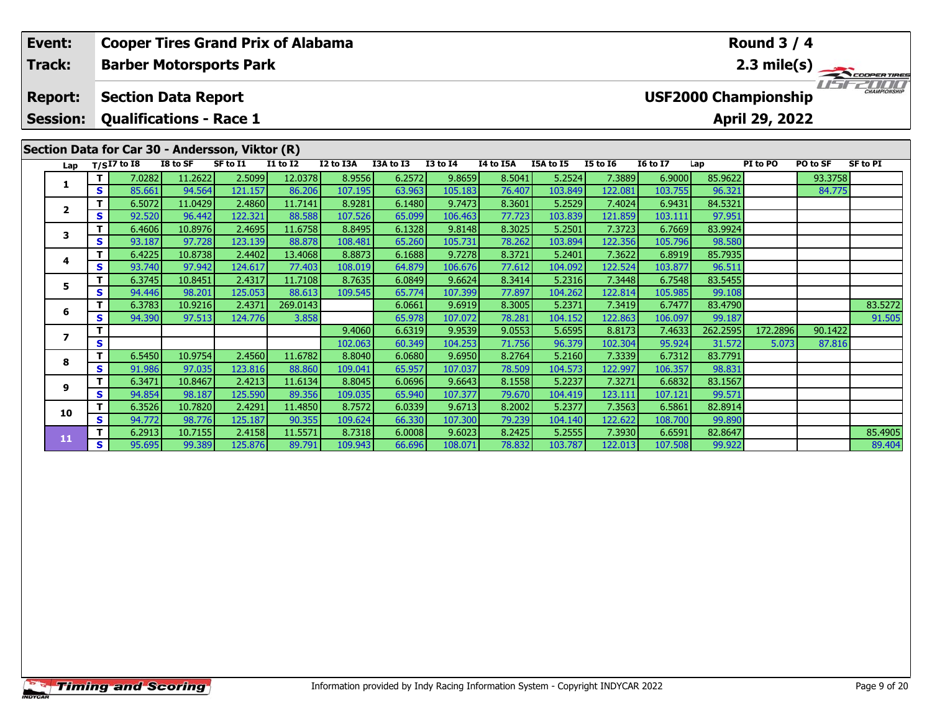| Event:<br><b>Track:</b> |                                   |               | <b>Cooper Tires Grand Prix of Alabama</b>                    |                   |                   |                   |                   |                  |                   |                  |                   |                   |                   |                   | Round $3/4$                                   |                   |                                       |
|-------------------------|-----------------------------------|---------------|--------------------------------------------------------------|-------------------|-------------------|-------------------|-------------------|------------------|-------------------|------------------|-------------------|-------------------|-------------------|-------------------|-----------------------------------------------|-------------------|---------------------------------------|
|                         |                                   |               | <b>Barber Motorsports Park</b>                               |                   |                   |                   |                   |                  |                   |                  |                   |                   |                   |                   |                                               |                   | $\overbrace{ }^{2.3 \text{ mile(s)}}$ |
|                         | <b>Report:</b><br><b>Session:</b> |               | <b>Section Data Report</b><br><b>Qualifications - Race 1</b> |                   |                   |                   |                   |                  |                   |                  |                   |                   |                   |                   | <b>USF2000 Championship</b><br>April 29, 2022 |                   | CHAMPIONSHIP                          |
|                         |                                   |               | Section Data for Car 30 - Andersson, Viktor (R)              |                   |                   |                   |                   |                  |                   |                  |                   |                   |                   |                   | PI to PO                                      |                   |                                       |
|                         | Lap                               |               | $T/SI7$ to I8                                                | I8 to SF          | SF to I1          | <b>I1 to I2</b>   | I2 to I3A         | I3A to I3        | <b>I3 to I4</b>   | I4 to I5A        | I5A to I5         | <b>I5 to 16</b>   | <b>16 to 17</b>   | Lap               |                                               | PO to SF          | <b>SF to PI</b>                       |
|                         | 1                                 | S.            | 7.0282<br>85.661                                             | 11.2622<br>94.564 | 2.5099<br>121.157 | 12.0378<br>86.206 | 8.9556<br>107.195 | 6.2572<br>63.963 | 9.8659<br>105.183 | 8.5041<br>76.407 | 5.2524<br>103.849 | 7.3889<br>122.081 | 6.9000<br>103.755 | 85.9622<br>96.321 |                                               | 93.3758<br>84.775 |                                       |
|                         |                                   |               | 6.5072                                                       | 11.0429           | 2.4860            | 11.7141           | 8.9281            | 6.1480           | 9.7473            | 8.3601           | 5.2529            | 7.4024            | 6.9431            | 84.5321           |                                               |                   |                                       |
|                         | $\mathbf{2}$                      | S.            | 92.520                                                       | 96.442            | 122.321           | 88.588            | 107.526           | 65.099           | 106.463           | 77.723           | 103.839           | 121.859           | 103.111           | 97.951            |                                               |                   |                                       |
|                         |                                   | т             | 6.4606                                                       | 10.8976           | 2.4695            | 11.6758           | 8.8495            | 6.1328           | 9.8148            | 8.3025           | 5.2501            | 7.3723            | 6.7669            | 83.9924           |                                               |                   |                                       |
|                         | 3                                 | <b>S</b>      | 93.187                                                       | 97.728            | 123.139           | 88.878            | 108.481           | 65.260           | 105.731           | 78.262           | 103.894           | 122.356           | 105.796           | 98.580            |                                               |                   |                                       |
|                         |                                   | т             | 6.4225                                                       | 10.8738           | 2.4402            | 13.4068           | 8.8873            | 6.1688           | 9.7278            | 8.3721           | 5.2401            | 7.3622            | 6.8919            | 85.7935           |                                               |                   |                                       |
|                         | 4                                 | <b>S</b>      | 93.740                                                       | 97.942            | 124.617           | 77.403            | 108.019           | 64.879           | 106.676           | 77.612           | 104.092           | 122.524           | 103.877           | 96.511            |                                               |                   |                                       |
|                         | 5                                 | T             | 6.3745                                                       | 10.8451           | 2.4317            | 11.7108           | 8.7635            | 6.0849           | 9.6624            | 8.3414           | 5.2316            | 7.3448            | 6.7548            | 83.5455           |                                               |                   |                                       |
|                         |                                   | S.            | 94.446                                                       | 98.201            | 125.053           | 88.613            | 109.545           | 65.774           | 107.399           | 77.897           | 104.262           | 122.814           | 105.985           | 99.108            |                                               |                   |                                       |
|                         | 6                                 | T.            | 6.3783                                                       | 10.9216           | 2.4371            | 269.0143          |                   | 6.0661           | 9.6919            | 8.3005           | 5.2371            | 7.3419            | 6.7477            | 83.4790           |                                               |                   | 83.5272                               |
|                         |                                   | <b>S</b>      | 94.390                                                       | 97.513            | 124.776           | 3.858             |                   | 65.978           | 107.072           | 78.281           | 104.152           | 122.863           | 106.097           | 99.187            |                                               |                   | 91.505                                |
|                         | $\overline{ }$                    |               |                                                              |                   |                   |                   | 9.4060            | 6.6319           | 9.9539            | 9.0553           | 5.6595            | 8.8173            | 7.4633            | 262.2595          | 172.2896                                      | 90.1422           |                                       |
|                         |                                   | S             |                                                              |                   |                   |                   | 102.063           | 60.349           | 104.253           | 71.756           | 96.379            | 102.304           | 95.924            | 31.572            | 5.073                                         | 87.816            |                                       |
|                         | 8                                 | т<br><b>S</b> | 6.5450<br>91.986                                             | 10.9754<br>97.035 | 2.4560<br>123.816 | 11.6782<br>88.860 | 8.8040<br>109.041 | 6.0680<br>65.957 | 9.6950<br>107.037 | 8.2764<br>78.509 | 5.2160<br>104.573 | 7.3339<br>122.997 | 6.7312<br>106.357 | 83.7791<br>98.831 |                                               |                   |                                       |
|                         |                                   |               | 6.3471                                                       | 10.8467           | 2.4213            | 11.6134           | 8.8045            | 6.0696           | 9.6643            | 8.1558           | 5.2237            | 7.3271            | 6.6832            | 83.1567           |                                               |                   |                                       |
|                         | 9                                 | S.            | 94.854                                                       | 98.187            | 125.590           | 89.356            | 109.035           | 65.940           | 107.377           | 79.670           | 104.419           | 123.111           | 107.121           | 99.571            |                                               |                   |                                       |
|                         |                                   |               | 6.3526                                                       | 10.7820           | 2.4291            | 11.4850           | 8.7572            | 6.0339           | 9.6713            | 8.2002           | 5.2377            | 7.3563            | 6.5861            | 82.8914           |                                               |                   |                                       |
|                         | 10                                | <b>S</b>      | 94.772                                                       | 98.776            | 125.187           | 90.355            | 109.624           | 66.330           | 107.300           | 79.239           | 104.140           | 122.622           | 108.700           | 99.890            |                                               |                   |                                       |
|                         |                                   |               |                                                              |                   |                   |                   |                   |                  |                   |                  |                   |                   |                   |                   |                                               |                   |                                       |

**<sup>T</sup>** 6.2913 10.7155 2.4158 11.5571 8.7318 6.0008 9.6023 8.2425 5.2555 7.3930 6.6591 82.8647 85.4905 **<sup>S</sup>** 95.695 99.389 125.876 89.791 109.943 66.696 108.071 78.832 103.787 122.013 107.508 99.922 89.404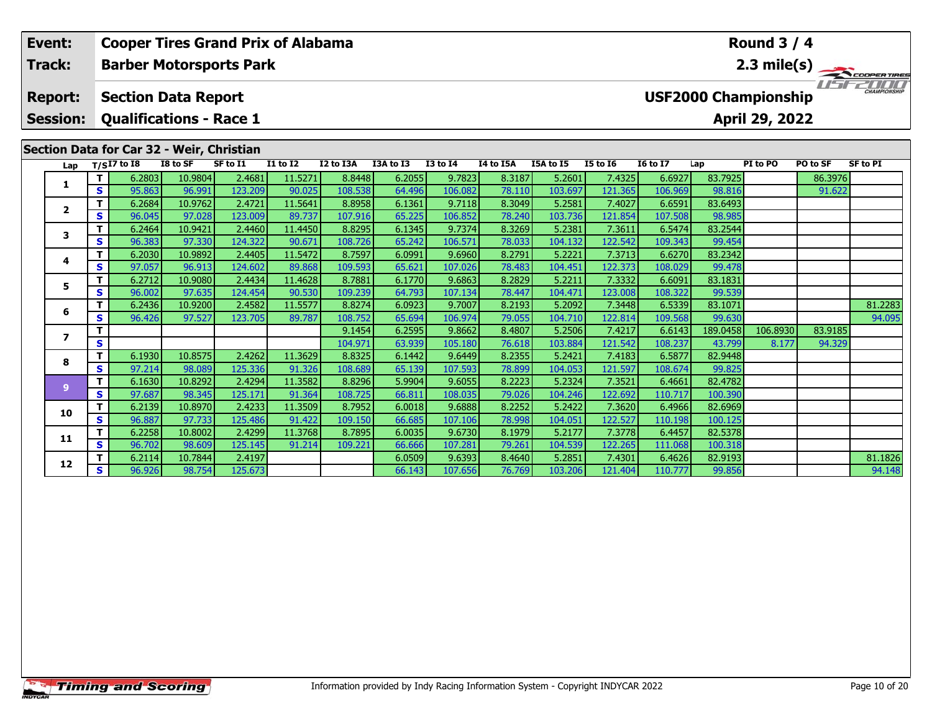|  | Event:          | <b>Cooper Tires Grand Prix of Alabama</b><br>Round $3/4$<br><b>Barber Motorsports Park</b> |                  |                                           |                   |                   |                   |                  |                   |                  |                   |                   |                   |                             |                |          |                       |
|--|-----------------|--------------------------------------------------------------------------------------------|------------------|-------------------------------------------|-------------------|-------------------|-------------------|------------------|-------------------|------------------|-------------------|-------------------|-------------------|-----------------------------|----------------|----------|-----------------------|
|  | Track:          |                                                                                            |                  |                                           |                   |                   |                   |                  |                   |                  |                   |                   |                   |                             |                |          | $2.3 \text{ mile(s)}$ |
|  | <b>Report:</b>  |                                                                                            |                  | <b>Section Data Report</b>                |                   |                   |                   |                  |                   |                  |                   |                   |                   | <b>USF2000 Championship</b> |                |          |                       |
|  | <b>Session:</b> |                                                                                            |                  | <b>Qualifications - Race 1</b>            |                   |                   |                   |                  |                   |                  |                   |                   |                   |                             | April 29, 2022 |          |                       |
|  |                 |                                                                                            |                  | Section Data for Car 32 - Weir, Christian |                   |                   |                   |                  |                   |                  |                   |                   |                   |                             |                |          |                       |
|  | Lap             |                                                                                            | $T/SI7$ to $I8$  | I8 to SF                                  | SF to I1          | <b>I1 to I2</b>   | I2 to I3A         | I3A to I3        | <b>I3 to I4</b>   | I4 to I5A        | I5A to I5         | <b>I5 to 16</b>   | <b>16 to 17</b>   | Lap                         | PI to PO       | PO to SF | <b>SF to PI</b>       |
|  | 1               | T.                                                                                         | 6.2803           | 10.9804                                   | 2.4681            | 11.5271           | 8.8448            | 6.2055           | 9.7823            | 8.3187           | 5.2601            | 7.4325            | 6.6927            | 83.7925                     |                | 86.3976  |                       |
|  |                 | S.<br>T.                                                                                   | 95.863<br>6.2684 | 96.991<br>10.9762                         | 123.209<br>2.4721 | 90.025<br>11.5641 | 108.538<br>8.8958 | 64.496<br>6.1361 | 106.082<br>9.7118 | 78.110<br>8.3049 | 103.697<br>5.2581 | 121.365<br>7.4027 | 106.969<br>6.6591 | 98.816<br>83.6493           |                | 91.622   |                       |
|  | $\mathbf{2}$    | <b>S</b>                                                                                   | 96.045           | 97.028                                    | 123.009           | 89.737            | 107.916           | 65.225           | 106.852           | 78.240           | 103.736           | 121.854           | 107.508           | 98.985                      |                |          |                       |
|  |                 | T.                                                                                         | 6.2464           | 10.9421                                   | 2.4460            | 11.4450           | 8.8295            | 6.1345           | 9.7374            | 8.3269           | 5.2381            | 7.3611            | 6.5474            | 83.2544                     |                |          |                       |
|  | 3               | S.                                                                                         | 96.383           | 97.330                                    | 124.322           | 90.671            | 108.726           | 65.242           | 106.571           | 78.033           | 104.132           | 122.542           | 109.343           | 99.454                      |                |          |                       |
|  |                 | T.                                                                                         | 6.2030           | 10.9892                                   | 2.4405            | 11.5472           | 8.7597            | 6.0991           | 9.6960            | 8.2791           | 5.2221            | 7.3713            | 6.6270            | 83.2342                     |                |          |                       |
|  | 4               | <b>S</b>                                                                                   | 97.057           | 96.913                                    | 124.602           | 89.868            | 109.593           | 65.621           | 107.026           | 78.483           | 104.451           | 122.373           | 108.029           | 99.478                      |                |          |                       |
|  | 5.              | т                                                                                          | 6.2712           | 10.9080                                   | 2.4434            | 11.4628           | 8.7881            | 6.1770           | 9.6863            | 8.2829           | 5.2211            | 7.3332            | 6.6091            | 83.1831                     |                |          |                       |
|  |                 | S.                                                                                         | 96.002           | 97.635                                    | 124.454           | 90.530            | 109.239           | 64.793           | 107.134           | 78.447           | 104.471           | 123.008           | 108.322           | 99.539                      |                |          |                       |
|  | 6               | T.                                                                                         | 6.2436           | 10.9200                                   | 2.4582            | 11.5577           | 8.8274            | 6.0923           | 9.7007            | 8.2193           | 5.2092            | 7.3448            | 6.5339            | 83.1071                     |                |          | 81.2283               |
|  |                 | S                                                                                          | 96.426           | 97.527                                    | 123.705           | 89.787            | 108.752           | 65.694           | 106.974           | 79.055           | 104.710           | 122.814           | 109.568           | 99.630                      |                |          | 94.095                |
|  | $\overline{ }$  |                                                                                            |                  |                                           |                   |                   | 9.1454            | 6.2595           | 9.8662            | 8.4807           | 5.2506            | 7.4217            | 6.6143            | 189.0458                    | 106.8930       | 83.9185  |                       |
|  |                 | <b>S</b><br>T.                                                                             | 6.1930           | 10.8575                                   | 2.4262            | 11.3629           | 104.971<br>8.8325 | 63.939<br>6.1442 | 105.180<br>9.6449 | 76.618<br>8.2355 | 103.884<br>5.2421 | 121.542<br>7.4183 | 108.237<br>6.5877 | 43.799<br>82.9448           | 8.177          | 94.329   |                       |
|  | 8<br>9<br>10    | S.                                                                                         | 97.214           | 98.089                                    | 125.336           | 91.326            | 108.689           | 65.139           | 107.593           | 78.899           | 104.053           | 121.597           | 108.674           | 99.825                      |                |          |                       |
|  |                 | T.                                                                                         | 6.1630           | 10.8292                                   | 2.4294            | 11.3582           | 8.8296            | 5.9904           | 9.6055            | 8.2223           | 5.2324            | 7.3521            | 6.4661            | 82.4782                     |                |          |                       |
|  |                 | S.                                                                                         | 97.687           | 98.345                                    | 125.171           | 91.364            | 108.725           | 66.811           | 108.035           | 79.026           | 104.246           | 122.692           | 110.717           | 100.390                     |                |          |                       |
|  |                 | T.                                                                                         | 6.2139           | 10.8970                                   | 2.4233            | 11.3509           | 8.7952            | 6.0018           | 9.6888            | 8.2252           | 5.2422            | 7.3620            | 6.4966            | 82.6969                     |                |          |                       |
|  |                 | S.                                                                                         | 96.887           | 97.733                                    | 125.486           | 91.422            | 109.150           | 66.685           | 107.106           | 78.998           | 104.051           | 122.527           | 110.198           | 100.125                     |                |          |                       |
|  | 11              |                                                                                            | 6.2258           | 10.8002                                   | 2.4299            | 11.3768           | 8.7895            | 6.0035           | 9.6730            | 8.1979           | 5.2177            | 7.3778            | 6.4457            | 82.5378                     |                |          |                       |
|  |                 | S.                                                                                         | 96.702           | 98.609                                    | 125.145           | 91.214            | 109.221           | 66.666           | 107.281           | 79.261           | 104.539           | 122.265           | 111.068           | 100.318                     |                |          |                       |

**12**

**<sup>T</sup>** 6.2114 10.7844 2.4197 6.0509 9.6393 8.4640 5.2851 7.4301 6.4626 82.9193 81.1826 **<sup>S</sup>** 96.926 98.754 125.673 66.143 107.656 76.769 103.206 121.404 110.777 99.856 94.148

94.148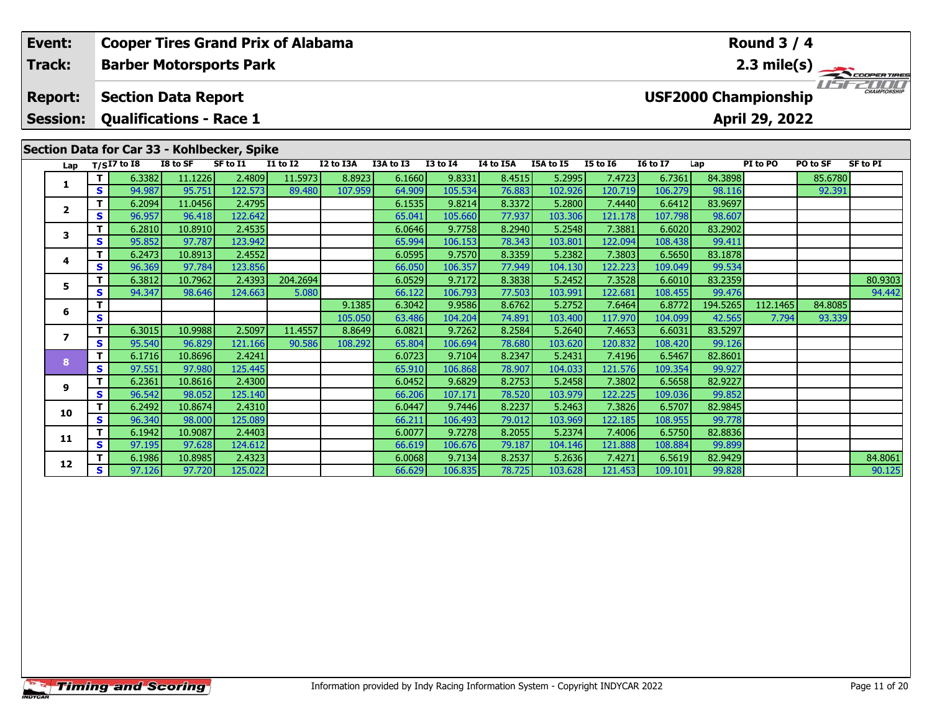| Event:          |          | <b>Cooper Tires Grand Prix of Alabama</b>   |                   |                                   |                 |           |                  |                    |                                            |                   |                   |                   |                                    | <b>Round 3 / 4</b>          |          |                       |
|-----------------|----------|---------------------------------------------|-------------------|-----------------------------------|-----------------|-----------|------------------|--------------------|--------------------------------------------|-------------------|-------------------|-------------------|------------------------------------|-----------------------------|----------|-----------------------|
| Track:          |          | <b>Barber Motorsports Park</b>              |                   |                                   |                 |           |                  |                    |                                            |                   |                   |                   |                                    |                             |          | $2.3 \text{ mile(s)}$ |
| <b>Report:</b>  |          | <b>Section Data Report</b>                  |                   |                                   |                 |           |                  |                    |                                            |                   |                   |                   |                                    | <b>USF2000 Championship</b> |          |                       |
| <b>Session:</b> |          | <b>Qualifications - Race 1</b>              |                   |                                   |                 |           |                  |                    |                                            |                   |                   |                   |                                    | April 29, 2022              |          |                       |
|                 |          | Section Data for Car 33 - Kohlbecker, Spike |                   |                                   |                 |           |                  |                    |                                            |                   |                   |                   |                                    |                             |          |                       |
| Lap             |          | $T/SI7$ to I8                               | I8 to SF          | SF to I1                          | <b>I1 to I2</b> | I2 to I3A | I3A to I3        | <b>I3 to I4</b>    | I4 to I5A                                  | I5A to I5         | <b>I5 to 16</b>   | <b>16 to 17</b>   | Lap                                | PI to PO                    | PO to SF | <b>SF to PI</b>       |
|                 |          | 6.3382                                      | 11.1226           | 2.4809                            | 11.5973         | 8.8923    | 6.1660           | 9.8331             | 8.4515                                     | 5.2995            | 7.4723            | 6.7361            | 84.3898                            |                             | 85.6780  |                       |
|                 | S.       | 94.987                                      | 95.751            | 122.573                           | 89.480          | 107.959   | 64.909           | 105.534            | 76.883                                     | 102.926           | 120.719           | 106.279           | 98.116                             |                             | 92.391   |                       |
| $\mathbf{2}$    |          | 6.2094                                      | 11.0456           | 2.4795                            |                 |           | 6.1535           | 9.8214             | 8.3372                                     | 5.2800            | 7.4440            | 6.6412            | 83.9697                            |                             |          |                       |
|                 | S.       | 96.957                                      | 96.418            | 122.642                           |                 |           | 65.041           | 105.660            | 77.937                                     | 103.306           | 121.178           | 107.798           | 98.607                             |                             |          |                       |
| 3               |          | 6.2810                                      | 10.8910           | 2.4535                            |                 |           | 6.0646           | 9.7758             | 8.2940                                     | 5.2548            | 7.3881            | 6.6020            | 83.2902                            |                             |          |                       |
|                 | S.       | 95.852                                      | 97.787            | 123.942                           |                 |           | 65.994           | 106.153            | 78.343                                     | 103.801           | 122.094           | 108.438           | 99.411                             |                             |          |                       |
| 4               | S.       | 6.2473<br>96.369                            | 10.8913           | 2.4552                            |                 |           | 6.0595           | 9.7570             | 8.3359<br>77.949                           | 5.2382<br>104.130 | 7.3803<br>122.223 | 6.5650            | 83.1878<br>99.534                  |                             |          |                       |
|                 |          | 6.3812                                      | 97.784<br>10.7962 | 123.856<br>2.4393                 | 204.2694        |           | 66.050<br>6.0529 | 106.357<br>9.7172  | 8.3838                                     | 5.2452            | 7.3528            | 109.049<br>6.6010 | 83.2359                            |                             |          | 80.9303               |
| 5               | <b>S</b> | 94.347                                      | 98.646            | 124.663                           | 5.080           |           | 66.122           | 106.793            | 77.503                                     | 103.991           | 122.681           | 108.455           | 99.476                             |                             |          | 94.442                |
|                 |          |                                             |                   |                                   |                 | 9.1385    | 6.3042           | 9.9586             | 8.6762                                     | 5.2752            | 7.6464            | 6.8772            | 194.5265                           | 112.1465                    | 84.8085  |                       |
| 6               | S        |                                             |                   |                                   |                 | 105.050   | 63.486           | 104.204            | 74.891                                     | 103.400           | 117.970           | 104.099           | 42.565                             | 7.794                       | 93.339   |                       |
|                 |          | 6.3015                                      | 10.9988           | 2.5097                            | 11.4557         | 8.8649    | 6.0821           | 9.7262             | 8.2584                                     | 5.2640            | 7.4653            | 6.6031            | 83.5297                            |                             |          |                       |
|                 | S        | 95.540                                      | 96.829            | 121.166                           | 90.586          | 108.292   | 65.804           | 106.694            | 78.680                                     | 103.620           | 120.832           | 108.420           | 99.126                             |                             |          |                       |
|                 |          |                                             | <u>a sa san T</u> | <b>Contract Contract Contract</b> |                 |           | <u>a abasi</u>   | المستحدث والمستحدث | <b>Contract Contract Contract Contract</b> | .                 | - - - - - 1       | . <b>.</b>        | $\sim$ $\sim$ $\sim$ $\sim$ $\sim$ |                             |          |                       |

|    |    | 6.3015 | 10.9988 | 2.5097  | 11.4557 | 8.8649  | 6.0821 | 9.7262  | 8.2584 | 5.2640  | 7.4653  | 6.6031  | 83.5297 |  |         |
|----|----|--------|---------|---------|---------|---------|--------|---------|--------|---------|---------|---------|---------|--|---------|
|    | S  | 95.540 | 96.829  | 121.166 | 90.586  | 108.292 | 65.804 | 106.694 | 78.680 | 103.620 | 120.832 | 108.420 | 99.126  |  |         |
|    |    | 6.1716 | 10.8696 | 2.4241  |         |         | 6.0723 | 9.7104  | 8.2347 | 5.2431  | 7.4196  | 6.5467  | 82.8601 |  |         |
|    | S  | 97.551 | 97.980  | 125.445 |         |         | 65.910 | 106.868 | 78.907 | 104.033 | 121.576 | 109.354 | 99.927  |  |         |
| g  |    | 6.2361 | 10.8616 | 2.4300  |         |         | 6.0452 | 9.6829  | 8.2753 | 5.2458  | 7.3802  | 6.5658  | 82.9227 |  |         |
|    | S. | 96.542 | 98.052  | 125.140 |         |         | 66.206 | 107.171 | 78.520 | 103.979 | 122.225 | 109.036 | 99.852  |  |         |
| 10 |    | 6.2492 | 10.8674 | 2.4310  |         |         | 6.0447 | 9.7446  | 8.2237 | 5.2463  | 7.3826  | 6.5707  | 82.9845 |  |         |
|    | s  | 96.340 | 98.000  | 125.089 |         |         | 66.211 | 106.493 | 79.012 | 103.969 | 122.185 | 108.955 | 99.778  |  |         |
|    |    | 6.1942 | 10.9087 | 2.4403  |         |         | 6.0077 | 9.7278  | 8.2055 | 5.2374  | 7.4006  | 6.5750  | 82.8836 |  |         |
| 11 | S. | 97.195 | 97.628  | 124.612 |         |         | 66.619 | 106.676 | 79.187 | 104.146 | 121.888 | 108.884 | 99.899  |  |         |
|    |    | 6.1986 | 10.8985 | 2.4323  |         |         | 6.0068 | 9.7134  | 8.2537 | 5.2636  | 7.4271  | 6.5619  | 82.9429 |  | 84.8061 |
| 12 | s  | 97.126 | 97.720  | 125.022 |         |         | 66.629 | 106.835 | 78.725 | 103.628 | 121.453 | 109.101 | 99.828  |  | 90.125  |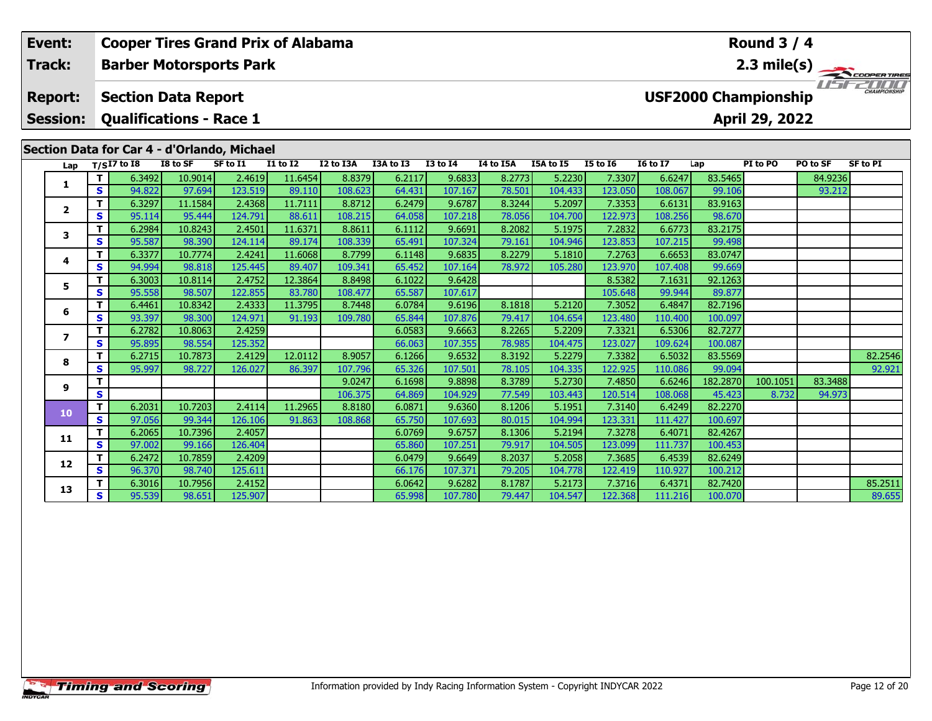| Event:<br><b>Track:</b> |                 |                         | <b>Cooper Tires Grand Prix of Alabama</b>   |                   |                   |                                    |                   | Round $3/4$      |                   |                  |                   |                   |                   |                             |                |                   |                   |
|-------------------------|-----------------|-------------------------|---------------------------------------------|-------------------|-------------------|------------------------------------|-------------------|------------------|-------------------|------------------|-------------------|-------------------|-------------------|-----------------------------|----------------|-------------------|-------------------|
|                         |                 |                         | <b>Barber Motorsports Park</b>              |                   |                   |                                    |                   |                  |                   |                  |                   |                   |                   |                             |                |                   | 2.3 mile(s)       |
|                         | <b>Report:</b>  |                         | <b>Section Data Report</b>                  |                   |                   |                                    |                   |                  |                   |                  |                   |                   |                   | <b>USF2000 Championship</b> |                |                   |                   |
|                         | <b>Session:</b> |                         | <b>Qualifications - Race 1</b>              |                   |                   |                                    |                   |                  |                   |                  |                   |                   |                   |                             | April 29, 2022 |                   |                   |
|                         |                 |                         |                                             |                   |                   |                                    |                   |                  |                   |                  |                   |                   |                   |                             |                |                   |                   |
|                         |                 |                         | Section Data for Car 4 - d'Orlando, Michael |                   |                   |                                    |                   |                  |                   |                  |                   |                   |                   |                             |                |                   |                   |
|                         | Lap             |                         | $T/SI7$ to I8                               | I8 to SF          | SF to I1          | $\overline{11}$ to $\overline{12}$ | I2 to I3A         | I3A to I3        | <b>I3 to I4</b>   | I4 to I5A        | I5A to I5         | <b>I5 to 16</b>   | <b>I6 to I7</b>   | Lap                         | PI to PO       | PO to SF          | <b>SF to PI</b>   |
|                         | 1               | т<br>S                  | 6.3492<br>94.822                            | 10.9014<br>97.694 | 2.4619<br>123.519 | 11.6454<br>89.110                  | 8.8379<br>108.623 | 6.2117           | 9.6833<br>107.167 | 8.2773<br>78.501 | 5.2230<br>104.433 | 7.3307<br>123.050 | 6.6247<br>108.067 | 83.5465<br>99.106           |                | 84.9236<br>93.212 |                   |
|                         |                 |                         | 6.3297                                      | 11.1584           | 2.4368            | 11.7111                            | 8.8712            | 64.431<br>6.2479 | 9.6787            | 8.3244           | 5.2097            | 7.3353            | 6.6131            | 83.9163                     |                |                   |                   |
|                         | $\mathbf{2}$    | T.<br>S<br>T.<br>3<br>S | 95.114                                      | 95.444            | 124.791           | 88.611                             | 108.215           | 64.058           | 107.218           | 78.056           | 104.700           | 122.973           | 108.256           | 98.670                      |                |                   |                   |
|                         | T.<br>4<br>S    | 6.2984                  | 10.8243                                     | 2.4501            | 11.6371           | 8.8611                             | 6.1112            | 9.6691           | 8.2082            | 5.1975           | 7.2832            | 6.6773            | 83.2175           |                             |                |                   |                   |
|                         |                 |                         | 95.587                                      | 98.390            | 124.114           | 89.174                             | 108.339           | 65.491           | 107.324           | 79.161           | 104.946           | 123.853           | 107.215           | 99.498                      |                |                   |                   |
|                         |                 |                         | 6.3377                                      | 10.7774           | 2.4241            | 11.6068                            | 8.7799            | 6.1148           | 9.6835            | 8.2279           | 5.1810            | 7.2763            | 6.6653            | 83.0747                     |                |                   |                   |
|                         |                 |                         | 94.994                                      | 98.818            | 125.445           | 89.407                             | 109.341           | 65.452           | 107.164           | 78.972           | 105.280           | 123.970           | 107.408           | 99.669                      |                |                   |                   |
|                         |                 | T.                      | 6.3003                                      | 10.8114           | 2.4752            | 12.3864                            | 8.8498            | 6.1022           | 9.6428            |                  |                   | 8.5382            | 7.1631            | 92.1263                     |                |                   |                   |
|                         | 5               | S                       | 95.558                                      | 98.507            | 122.855           | 83.780                             | 108.477           | 65.587           | 107.617           |                  |                   | 105.648           | 99.944            | 89.877                      |                |                   |                   |
|                         |                 | T.                      | 6.4461                                      | 10.8342           | 2.4333            | 11.3795                            | 8.7448            | 6.0784           | 9.6196            | 8.1818           | 5.2120            | 7.3052            | 6.4847            | 82.7196                     |                |                   |                   |
|                         | 6               | S                       | 93.397                                      | 98.300            | 124.971           | 91.193                             | 109.780           | 65.844           | 107.876           | 79.417           | 104.654           | 123.480           | 110,400           | 100.097                     |                |                   |                   |
|                         |                 | T.                      | 6.2782                                      | 10.8063           | 2.4259            |                                    |                   | 6.0583           | 9.6663            | 8.2265           | 5.2209            | 7.3321            | 6.5306            | 82.7277                     |                |                   |                   |
|                         | $\overline{ }$  | S                       | 95.895                                      | 98.554            | 125.352           |                                    |                   | 66.063           | 107.355           | 78.985           | 104.475           | 123.027           | 109.624           | 100.087                     |                |                   |                   |
|                         | 8               | T                       | 6.2715                                      | 10.7873           | 2.4129            | 12.0112                            | 8.9057            | 6.1266           | 9.6532            | 8.3192           | 5.2279            | 7.3382            | 6.5032            | 83.5569                     |                |                   | 82.2546           |
|                         |                 | S                       | 95.997                                      | 98.727            | 126.027           | 86.397                             | 107.796           | 65.326           | 107.501           | 78.105           | 104.335           | 122.925           | 110.086           | 99.094                      |                |                   | 92.921            |
|                         | 9               | т                       |                                             |                   |                   |                                    | 9.0247            | 6.1698           | 9.8898            | 8.3789           | 5.2730            | 7.4850            | 6.6246            | 182.2870                    | 100.1051       | 83.3488           |                   |
|                         |                 | S                       |                                             |                   |                   |                                    | 106.375           | 64.869           | 104.929           | 77.549           | 103.443           | 120.514           | 108.068           | 45.423                      | 8.732          | 94.973            |                   |
|                         | 10              | T.                      | 6.2031                                      | 10.7203           | 2.4114            | 11.2965                            | 8.8180            | 6.0871           | 9.6360            | 8.1206           | 5.1951            | 7.3140            | 6.4249            | 82.2270                     |                |                   |                   |
|                         |                 | S                       | 97.056                                      | 99.344            | 126.106           | 91.863                             | 108,868           | 65.750           | 107.693           | 80.015           | 104.994           | 123.331           | 111.427           | 100.697                     |                |                   |                   |
|                         | 11              | T.                      | 6.2065                                      | 10.7396           | 2.4057            |                                    |                   | 6.0769           | 9.6757            | 8.1306           | 5.2194            | 7.3278            | 6.4071            | 82.4267                     |                |                   |                   |
|                         |                 | $\mathbf{s}$            | 97.002                                      | 99.166            | 126.404           |                                    |                   | 65.860           | 107.251           | 79.917           | 104.505           | 123.099           | 111.737           | 100.453                     |                |                   |                   |
|                         | 12              | т                       | 6.2472                                      | 10.7859           | 2.4209            |                                    |                   | 6.0479           | 9.6649            | 8.2037           | 5.2058            | 7.3685            | 6.4539            | 82.6249                     |                |                   |                   |
|                         |                 | S                       | 96.370                                      | 98.740            | 125.611           |                                    |                   | 66.176           | 107.371           | 79.205           | 104.778           | 122.419           | 110.927           | 100.212                     |                |                   |                   |
|                         | 13              | S.                      | 6.3016<br>95.539                            | 10.7956<br>98.651 | 2.4152<br>125.907 |                                    |                   | 6.0642<br>65.998 | 9.6282<br>107.780 | 8.1787<br>79.447 | 5.2173<br>104.547 | 7.3716<br>122.368 | 6.4371<br>111.216 | 82.7420<br>100.070          |                |                   | 85.2511<br>89.655 |
|                         |                 |                         |                                             |                   |                   |                                    |                   |                  |                   |                  |                   |                   |                   |                             |                |                   |                   |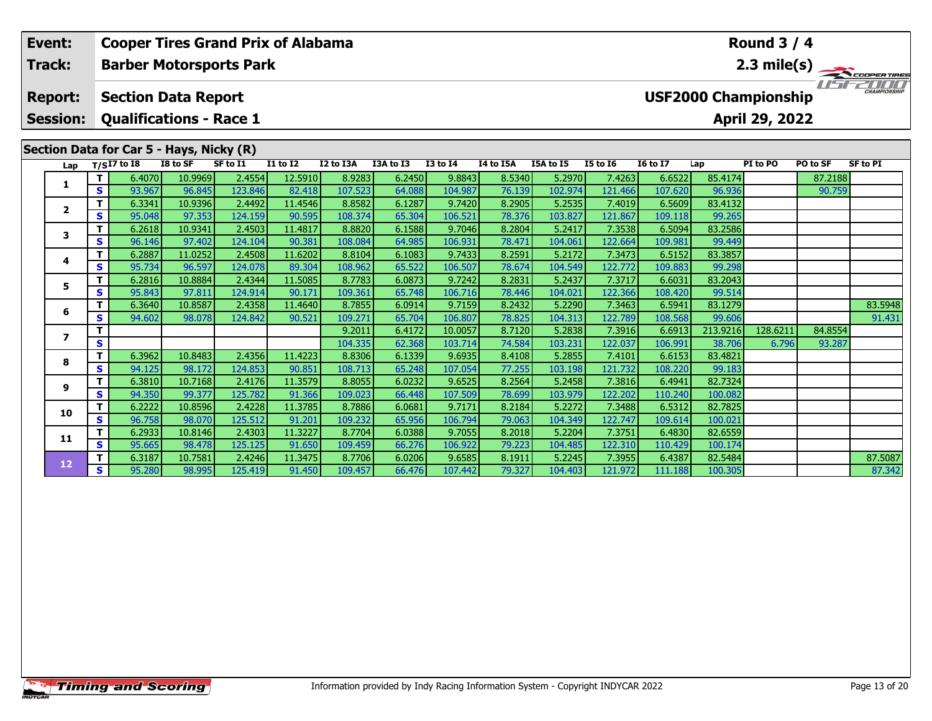| Event:<br>Track: |                                   | <b>Cooper Tires Grand Prix of Alabama</b> |                                                              |          |          |                 |                   |                  |                    |                  |                   |                   |                   | Round $3/4$        |                                               |                   |                     |
|------------------|-----------------------------------|-------------------------------------------|--------------------------------------------------------------|----------|----------|-----------------|-------------------|------------------|--------------------|------------------|-------------------|-------------------|-------------------|--------------------|-----------------------------------------------|-------------------|---------------------|
|                  |                                   |                                           | <b>Barber Motorsports Park</b>                               |          |          |                 |                   |                  |                    |                  |                   |                   |                   |                    |                                               | 2.3 mile(s)       |                     |
|                  | <b>Report:</b><br><b>Session:</b> |                                           | <b>Section Data Report</b><br><b>Qualifications - Race 1</b> |          |          |                 |                   |                  |                    |                  |                   |                   |                   |                    | <b>USF2000 Championship</b><br>April 29, 2022 | 11 <del>5</del> F | <b>CHAMPIONSHIP</b> |
|                  |                                   |                                           | Section Data for Car 5 - Hays, Nicky (R)                     |          |          |                 |                   |                  |                    |                  |                   |                   |                   |                    |                                               |                   |                     |
|                  | Lap                               |                                           | $T/SI7$ to 18                                                | I8 to SF | SF to I1 | <b>I1 to I2</b> | I2 to I3A         | I3A to I3        | <b>I3 to I4</b>    | I4 to I5A        | I5A to I5         | <b>I5 to 16</b>   | <b>I6 to I7</b>   | Lap                | PI to PO                                      | PO to SF          | <b>SF to PI</b>     |
|                  | 1                                 | т                                         | 6.4070                                                       | 10.9969  | 2.4554   | 12.5910         | 8.9283            | 6.2450           | 9.8843             | 8.5340           | 5.2970            | 7.4263            | 6.6522            | 85.4174            |                                               | 87.2188           |                     |
|                  |                                   | S.                                        | 93.967                                                       | 96.845   | 123.846  | 82.418          | 107.523           | 64.088           | 104.987            | 76.139           | 102.974           | 121.466           | 107.620           | 96.936             |                                               | 90.759            |                     |
|                  | $\mathbf{2}$                      | т                                         | 6.3341                                                       | 10.9396  | 2.4492   | 11.4546         | 8.8582            | 6.1287           | 9.7420             | 8.2905           | 5.2535            | 7.4019            | 6.5609            | 83.4132            |                                               |                   |                     |
|                  | 3                                 | S                                         | 95.048                                                       | 97.353   | 124.159  | 90.595          | 108.374           | 65.304           | 106.521            | 78.376           | 103.827           | 121.867           | 109.118           | 99.265             |                                               |                   |                     |
|                  |                                   | т                                         | 6.2618                                                       | 10.9341  | 2.4503   | 11.4817         | 8.8820            | 6.1588           | 9.7046             | 8.2804           | 5.2417            | 7.3538            | 6.5094            | 83.2586            |                                               |                   |                     |
|                  |                                   | S                                         | 96.146                                                       | 97.402   | 124.104  | 90.381          | 108.084           | 64.985           | 106.931            | 78.471           | 104.061           | 122.664           | 109.981           | 99.449             |                                               |                   |                     |
|                  | 4                                 | т                                         | 6.2887                                                       | 11.0252  | 2.4508   | 11.6202         | 8.8104            | 6.1083           | 9.7433             | 8.2591           | 5.2172            | 7.3473            | 6.5152            | 83.3857            |                                               |                   |                     |
|                  |                                   | S.                                        | 95.734                                                       | 96.597   | 124.078  | 89.304          | 108.962           | 65.522           | 106.507            | 78.674           | 104.549           | 122.772           | 109.883           | 99.298             |                                               |                   |                     |
|                  | 5.                                | T.                                        | 6.2816                                                       | 10.8884  | 2.4344   | 11.5085         | 8.7783            | 6.0873           | 9.7242             | 8.2831           | 5.2437            | 7.3717            | 6.6031            | 83.2043            |                                               |                   |                     |
|                  |                                   | S.                                        | 95.843                                                       | 97.811   | 124.914  | 90.171          | 109.361           | 65.748           | 106.716            | 78.446           | 104.021           | 122.366           | 108.420           | 99.514             |                                               |                   |                     |
|                  | 6                                 | т                                         | 6.3640                                                       | 10.8587  | 2.4358   | 11.4640         | 8.7855            | 6.0914           | 9.7159             | 8.2432           | 5.2290            | 7.3463            | 6.5941            | 83.1279            |                                               |                   | 83.5948             |
|                  |                                   | S<br>т                                    | 94.602                                                       | 98.078   | 124.842  | 90.521          | 109.271<br>9.2011 | 65.704<br>6.4172 | 106.807<br>10.0057 | 78.825<br>8.7120 | 104.313<br>5.2838 | 122.789<br>7.3916 | 108.568<br>6.6913 | 99.606<br>213.9216 | 128.6211                                      | 84.8554           | 91.431              |
|                  | $\overline{ }$                    | S                                         |                                                              |          |          |                 | 104.335           | 62.368           | 103.714            | 74.584           | 103.231           | 122.037           | 106.991           | 38.706             | 6.796                                         | 93.287            |                     |
|                  |                                   | т                                         | 6.3962                                                       | 10.8483  | 2.4356   | 11.4223         | 8.8306            | 6.1339           | 9.6935             | 8.4108           | 5.2855            | 7.4101            | 6.6153            | 83.4821            |                                               |                   |                     |
|                  | 8                                 | S                                         | 94.125                                                       | 98.172   | 124.853  | 90.851          | 108.713           | 65.248           | 107.054            | 77.255           | 103.198           | 121.732           | 108.220           | 99.183             |                                               |                   |                     |
|                  |                                   | т                                         | 6.3810                                                       | 10.7168  | 2.4176   | 11.3579         | 8.8055            | 6.0232           | 9.6525             | 8.2564           | 5.2458            | 7.3816            | 6.4941            | 82.7324            |                                               |                   |                     |
|                  | 9                                 | s                                         | 94.350                                                       | 99.377   | 125.782  | 91.366          | 109.023           | 66.448           | 107.509            | 78.699           | 103.979           | 122.202           | 110.240           | 100.082            |                                               |                   |                     |
|                  |                                   | т                                         | 6.2222                                                       | 10.8596  | 2.4228   | 11.3785         | 8.7886            | 6.0681           | 9.7171             | 8.2184           | 5.2272            | 7.3488            | 6.5312            | 82.7825            |                                               |                   |                     |
|                  | 10                                | S                                         | 96.758                                                       | 98.070   | 125.512  | 91.201          | 109.232           | 65.956           | 106.794            | 79.063           | 104.349           | 122.747           | 109.614           | 100.021            |                                               |                   |                     |
|                  |                                   | т                                         | 6.2933                                                       | 10.8146  | 2.4303   | 11.3227         | 8.7704            | 6.0388           | 9.7055             | 8.2018           | 5.2204            | 7.3751            | 6.4830            | 82.6559            |                                               |                   |                     |
|                  | 11                                | S                                         | 95.665                                                       | 98.478   | 125.125  | 91.650          | 109.459           | 66.276           | 106.922            | 79.223           | 104.485           | 122.310           | 110.429           | 100.174            |                                               |                   |                     |
|                  |                                   | т                                         | 6.3187                                                       | 10.7581  | 2.4246   | 11.3475         | 8.7706            | 6.0206           | 9.6585             | 8.1911           | 5.2245            | 7.3955            | 6.4387            | 82.5484            |                                               |                   | 87.5087             |
|                  | $12$                              | S.                                        | 95.280                                                       | 98.995   | 125.419  | 91.450          | 109.457           | 66.476           | 107.442            | 79.327           | 104.403           | 121.972           | 111.188           | 100.305            |                                               |                   | 87.342              |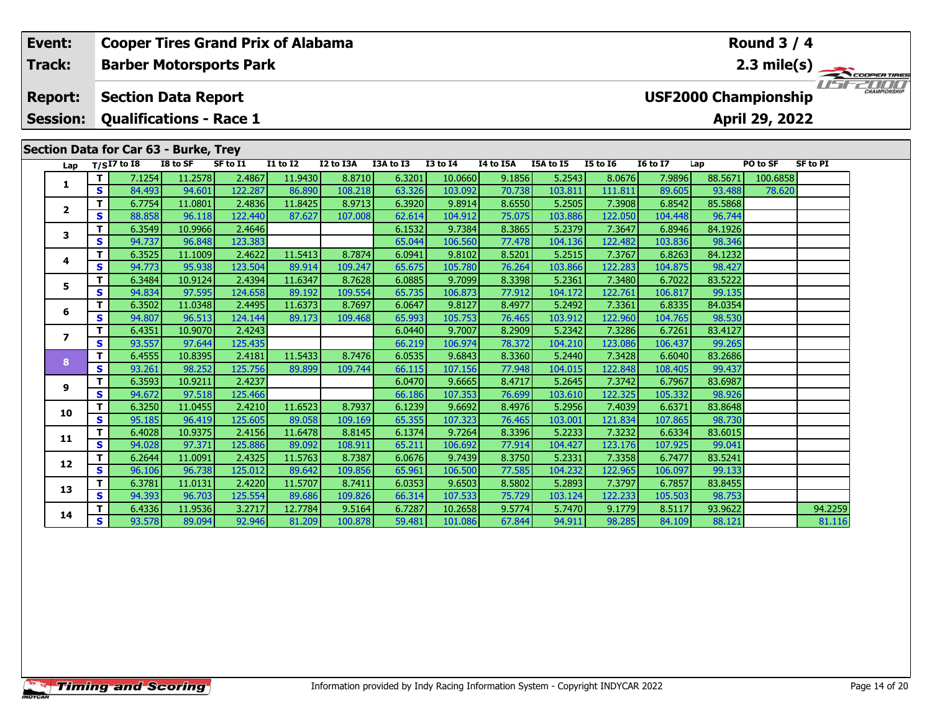| Event:<br>Track: |                         |                   |                                       |                   |                                | <b>Cooper Tires Grand Prix of Alabama</b> |                   |                  |                   |                  |                   |                   | Round $3/4$       |                             |                |                 |            |  |
|------------------|-------------------------|-------------------|---------------------------------------|-------------------|--------------------------------|-------------------------------------------|-------------------|------------------|-------------------|------------------|-------------------|-------------------|-------------------|-----------------------------|----------------|-----------------|------------|--|
|                  |                         |                   |                                       |                   | <b>Barber Motorsports Park</b> |                                           |                   |                  |                   |                  |                   |                   |                   |                             | $2.3$ mile(s)  |                 | COOPERTIRE |  |
|                  | <b>Report:</b>          |                   | <b>Section Data Report</b>            |                   |                                |                                           |                   |                  |                   |                  |                   |                   |                   | <b>USF2000 Championship</b> |                |                 |            |  |
|                  | <b>Session:</b>         |                   | <b>Qualifications - Race 1</b>        |                   |                                |                                           |                   |                  |                   |                  |                   |                   |                   |                             | April 29, 2022 |                 |            |  |
|                  |                         |                   |                                       |                   |                                |                                           |                   |                  |                   |                  |                   |                   |                   |                             |                |                 |            |  |
|                  |                         |                   | Section Data for Car 63 - Burke, Trey |                   |                                |                                           |                   |                  |                   |                  |                   |                   |                   |                             |                |                 |            |  |
|                  | Lap                     |                   | $T/SI7$ to I8                         | I8 to SF          | SF to I1                       | $\overline{11}$ to $\overline{12}$        | I2 to I3A         | I3A to I3        | $13$ to $14$      | I4 to I5A        | I5A to I5         | <b>I5 to 16</b>   | <b>I6 to I7</b>   | Lap                         | PO to SF       | <b>SF to PI</b> |            |  |
|                  | 1                       | т                 | 7.1254                                | 11.2578           | 2.4867                         | 11.9430                                   | 8.8710            | 6.3201           | 10.0660           | 9.1856           | 5.2543            | 8.0676            | 7.9896            | 88.5671                     | 100.6858       |                 |            |  |
|                  |                         | $\mathbf{s}$      | 84.493                                | 94.601            | 122.287                        | 86.890                                    | 108.218           | 63.326           | 103.092           | 70.738           | 103.811           | 111.811           | 89.605            | 93.488                      | 78.620         |                 |            |  |
|                  | $\mathbf{2}$            | T<br>S            | 6.7754<br>88.858                      | 11.0801<br>96.118 | 2.4836<br>122.440              | 11.8425<br>87.627                         | 8.9713<br>107.008 | 6.3920<br>62.614 | 9.8914<br>104.912 | 8.6550<br>75.075 | 5.2505<br>103.886 | 7.3908<br>122.050 | 6.8542<br>104.448 | 85.5868<br>96.744           |                |                 |            |  |
|                  | 3<br>4<br>5             | T.                | 6.3549                                | 10.9966           | 2.4646                         |                                           |                   | 6.1532           | 9.7384            | 8.3865           | 5.2379            | 7.3647            | 6.8946            | 84.1926                     |                |                 |            |  |
|                  |                         | S                 | 94.737                                | 96.848            | 123.383                        |                                           |                   | 65.044           | 106.560           | 77.478           | 104.136           | 122.482           | 103.836           | 98.346                      |                |                 |            |  |
|                  |                         | T                 | 6.3525                                | 11.1009           | 2.4622                         | 11.5413                                   | 8.7874            | 6.0941           | 9.8102            | 8.5201           | 5.2515            | 7.3767            | 6.8263            | 84.1232                     |                |                 |            |  |
|                  |                         | $\mathbf{s}$      | 94.773                                | 95.938            | 123.504                        | 89.914                                    | 109.247           | 65.675           | 105.780           | 76.264           | 103.866           | 122.283           | 104.875           | 98.427                      |                |                 |            |  |
|                  |                         | т                 | 6.3484                                | 10.9124           | 2.4394                         | 11.6347                                   | 8.7628            | 6.0885           | 9.7099            | 8.3398           | 5.2361            | 7.3480            | 6.7022            | 83.5222                     |                |                 |            |  |
|                  |                         | S                 | 94.834                                | 97.595            | 124.658                        | 89.192                                    | 109.554           | 65.735           | 106.873           | 77.912           | 104.172           | 122.761           | 106.817           | 99.135                      |                |                 |            |  |
|                  | 6                       | т                 | 6.3502                                | 11.0348           | 2.4495                         | 11.6373                                   | 8.7697            | 6.0647           | 9.8127            | 8.4977           | 5.2492            | 7.3361            | 6.8335            | 84.0354                     |                |                 |            |  |
|                  |                         | $\mathbf{s}$      | 94.807                                | 96.513            | 124.144                        | 89.173                                    | 109.468           | 65.993           | 105.753           | 76.465           | 103.912           | 122.960           | 104.765           | 98.530                      |                |                 |            |  |
|                  | $\overline{\mathbf{z}}$ | T                 | 6.4351                                | 10.9070           | 2.4243                         |                                           |                   | 6.0440           | 9.7007            | 8.2909           | 5.2342            | 7.3286            | 6.7261            | 83.4127                     |                |                 |            |  |
|                  |                         | $\mathbf{s}$      | 93.557                                | 97.644            | 125.435                        |                                           |                   | 66.219           | 106.974           | 78.372           | 104.210           | 123.086           | 106.437           | 99.265                      |                |                 |            |  |
|                  | 8                       | $\mathbf{T}$      | 6.4555                                | 10.8395           | 2.4181                         | 11.5433                                   | 8.7476            | 6.0535           | 9.6843            | 8.3360           | 5.2440            | 7.3428            | 6.6040            | 83.2686                     |                |                 |            |  |
|                  |                         | S                 | 93.261                                | 98.252            | 125.756                        | 89.899                                    | 109.744           | 66.115           | 107.156           | 77.948           | 104.015           | 122.848           | 108.405           | 99.437                      |                |                 |            |  |
|                  | 9                       | T                 | 6.3593                                | 10.9211           | 2.4237                         |                                           |                   | 6.0470           | 9.6665            | 8.4717           | 5.2645            | 7.3742            | 6.7967            | 83.6987                     |                |                 |            |  |
|                  |                         | $\mathbf{s}$<br>т | 94.672<br>6.3250                      | 97.518<br>11.0455 | 125.466<br>2.4210              | 11.6523                                   | 8.7937            | 66.186<br>6.1239 | 107.353<br>9.6692 | 76.699<br>8.4976 | 103.610<br>5.2956 | 122.325           | 105.332<br>6.6371 | 98.926<br>83.8648           |                |                 |            |  |
|                  | 10                      | $\mathbf{s}$      | 95.185                                | 96.419            | 125.605                        | 89.058                                    | 109.169           | 65.355           | 107.323           | 76.465           | 103.001           | 7.4039<br>121.834 | 107.865           | 98.730                      |                |                 |            |  |
|                  |                         | т                 | 6.4028                                | 10.9375           | 2.4156                         | 11.6478                                   | 8.8145            | 6.1374           | 9.7264            | 8.3396           | 5.2233            | 7.3232            | 6.6334            | 83.6015                     |                |                 |            |  |
|                  | 11                      | S                 | 94.028                                | 97.371            | 125.886                        | 89.092                                    | 108.911           | 65.211           | 106.692           | 77.914           | 104.427           | 123.176           | 107.925           | 99.041                      |                |                 |            |  |
|                  |                         | т                 | 6.2644                                | 11.0091           | 2.4325                         | 11.5763                                   | 8.7387            | 6.0676           | 9.7439            | 8.3750           | 5.2331            | 7.3358            | 6.7477            | 83.5241                     |                |                 |            |  |
|                  | 12                      | S                 | 96.106                                | 96.738            | 125.012                        | 89.642                                    | 109.856           | 65.961           | 106.500           | 77.585           | 104.232           | 122.965           | 106.097           | 99.133                      |                |                 |            |  |
|                  |                         | т                 | 6.3781                                | 11.0131           | 2.4220                         | 11.5707                                   | 8.7411            | 6.0353           | 9.6503            | 8.5802           | 5.2893            | 7.3797            | 6.7857            | 83.8455                     |                |                 |            |  |
|                  | 13                      | $\mathbf{s}$      | 94.393                                | 96.703            | 125.554                        | 89.686                                    | 109.826           | 66.314           | 107.533           | 75.729           | 103.124           | 122.233           | 105.503           | 98.753                      |                |                 |            |  |
|                  | 14                      |                   | 6.4336                                | 11.9536           | 3.2717                         | 12.7784                                   | 9.5164            | 6.7287           | 10.2658           | 9.5774           | 5.7470            | 9.1779            | 8.5117            | 93.9622                     |                | 94.2259         |            |  |
|                  |                         | $\mathbf{s}$      | 93.578                                | 89.094            | 92.946                         | 81.209                                    | 100.878           | 59.481           | 101.086           | 67.844           | 94.911            | 98.285            | 84.109            | 88.121                      |                | 81.116          |            |  |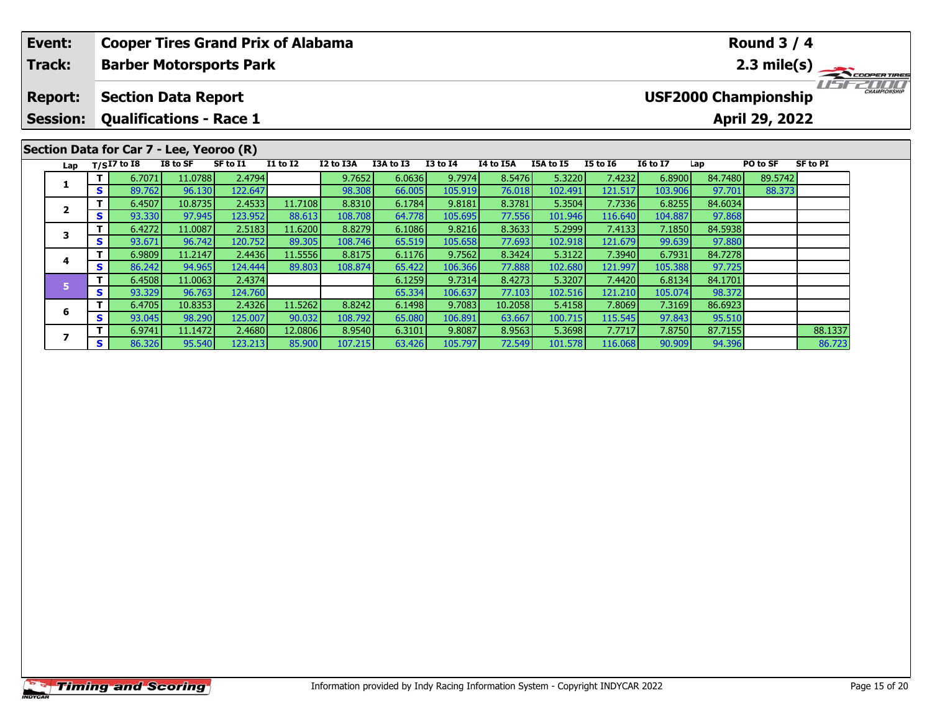| Event:                                   |    | <b>Cooper Tires Grand Prix of Alabama</b> |          |          |              |           | <b>Round 3 / 4</b> |              |           |           |                 |                 |         |                             |                 |                                            |
|------------------------------------------|----|-------------------------------------------|----------|----------|--------------|-----------|--------------------|--------------|-----------|-----------|-----------------|-----------------|---------|-----------------------------|-----------------|--------------------------------------------|
| <b>Track:</b>                            |    | <b>Barber Motorsports Park</b>            |          |          |              |           |                    |              |           |           |                 |                 |         |                             |                 | $2.3$ mile(s) $\frac{1}{2.3}$ coorer times |
| <b>Report:</b>                           |    | <b>Section Data Report</b>                |          |          |              |           |                    |              |           |           |                 |                 |         | <b>USF2000 Championship</b> |                 | <b>CHAMPIONSHIP</b>                        |
| <b>Session:</b>                          |    | <b>Qualifications - Race 1</b>            |          |          |              |           |                    |              |           |           |                 |                 |         | April 29, 2022              |                 |                                            |
| Section Data for Car 7 - Lee, Yeoroo (R) |    |                                           |          |          |              |           |                    |              |           |           |                 |                 |         |                             |                 |                                            |
|                                          |    | Lap $T/SI7$ to I8                         | I8 to SF | SF to I1 | $I1$ to $I2$ | I2 to I3A | I3A to I3          | $I3$ to $I4$ | I4 to I5A | I5A to I5 | <b>I5 to 16</b> | <b>16 to 17</b> | Lap     | PO to SF                    | <b>SF to PI</b> |                                            |
|                                          |    | 6.7071                                    | 11.0788  | 2.4794   |              | 9.7652    | 6.0636             | 9.7974       | 8.5476    | 5.3220    | 7.4232          | 6.8900          | 84.7480 | 89.5742                     |                 |                                            |
|                                          | S. | 89.762                                    | 96.130   | 122.647  |              | 98.308    | 66.005             | 105.919      | 76.018    | 102.491   | 121.517         | 103.906         | 97.701  | 88.373                      |                 |                                            |
|                                          |    | 6.4507                                    | 10.8735  | 2.4533   | 11.7108      | 8.8310    | 6.1784             | 9.8181       | 8.3781    | 5.3504    | 7.7336          | 6.8255          | 84.6034 |                             |                 |                                            |
| $\overline{2}$                           | S. | 93.330                                    | 97.945   | 123.952  | 88.613       | 108.708   | 64.778             | 105.695      | 77.556    | 101.946   | 116.640         | 104.887         | 97.868  |                             |                 |                                            |
| 3                                        |    | 6.4272                                    | 11.0087  | 2.5183   | 11.6200      | 8.8279    | 6.1086             | 9.8216       | 8.3633    | 5.2999    | 7.4133          | 7.1850          | 84.5938 |                             |                 |                                            |
|                                          | S. | 93.671                                    | 96.742   | 120.752  | 89.305       | 108.746   | 65.519             | 105.658      | 77.693    | 102.918   | 121.679         | 99.639          | 97.880  |                             |                 |                                            |
|                                          |    | 6.9809                                    | 11.2147  | 2.4436   | 11.5556      | 8.8175    | 6.1176             | 9.7562       | 8.3424    | 5.3122    | 7.3940          | 6.7931          | 84.7278 |                             |                 |                                            |
| 4                                        | S  | 86.242                                    | 94.965   | 124.444  | 89.803       | 108.874   | 65.422             | 106.366      | 77.888    | 102.680   | 121.997         | 105.388         | 97.725  |                             |                 |                                            |

**<sup>T</sup>** 6.9741 11.1472 2.4680 12.0806 8.9540 6.3101 9.8087 8.9563 5.3698 7.7717 7.8750 87.7155 88.1337 **<sup>S</sup>** 86.326 95.540 123.213 85.900 107.215 63.426 105.797 72.549 101.578 116.068 90.909 94.396 86.723

**<sup>T</sup>** 6.4508 11.0063 2.4374 6.1259 9.7314 8.4273 5.3207 7.4420 6.8134 84.1701 **<sup>S</sup>** 93.329 96.763 124.760 65.334 106.637 77.103 102.516 121.210 105.074 98.372

**<sup>T</sup>** 6.4705 10.8353 2.4326 11.5262 8.8242 6.1498 9.7083 10.2058 5.4158 7.8069 7.3169 86.6923 **<sup>S</sup>** 93.045 98.290 125.007 90.032 108.792 65.080 106.891 63.667 100.715 115.545 97.843 95.510

**6**

**7**

95.510<br>87.7155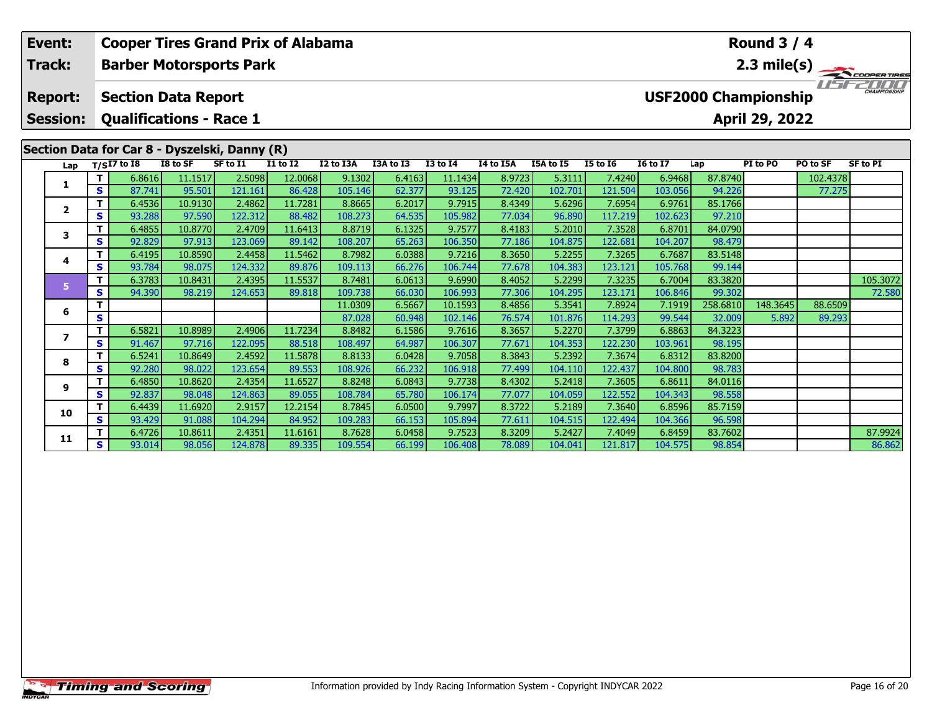|  | Event:                            |                                    | <b>Cooper Tires Grand Prix of Alabama</b>                    |                   |                   |                   |                   |                  |                   |                  |                   |                   |                   |                   | <b>Round 3 / 4</b>                            |          |                       |
|--|-----------------------------------|------------------------------------|--------------------------------------------------------------|-------------------|-------------------|-------------------|-------------------|------------------|-------------------|------------------|-------------------|-------------------|-------------------|-------------------|-----------------------------------------------|----------|-----------------------|
|  | Track:                            |                                    | <b>Barber Motorsports Park</b>                               |                   |                   |                   |                   |                  |                   |                  |                   |                   |                   |                   |                                               |          | $2.3 \text{ mile(s)}$ |
|  | <b>Report:</b><br><b>Session:</b> |                                    | <b>Section Data Report</b><br><b>Qualifications - Race 1</b> |                   |                   |                   |                   |                  |                   |                  |                   |                   |                   |                   | <b>USF2000 Championship</b><br>April 29, 2022 |          |                       |
|  |                                   |                                    | Section Data for Car 8 - Dyszelski, Danny (R)                |                   |                   |                   |                   |                  |                   |                  |                   |                   |                   |                   |                                               |          |                       |
|  | Lap                               |                                    | $T/SI7$ to I8                                                | I8 to SF          | SF to I1          | <b>I1 to I2</b>   | I2 to I3A         | I3A to I3        | <b>I3 to I4</b>   | I4 to I5A        | I5A to I5         | <b>I5 to 16</b>   | <b>I6 to I7</b>   | Lap               | PI to PO                                      | PO to SF | <b>SF to PI</b>       |
|  | 1                                 | T.                                 | 6.8616                                                       | 11.1517           | 2.5098            | 12.0068           | 9.1302            | 6.4163           | 11.1434           | 8.9723           | 5.3111            | 7.4240            | 6.9468            | 87.8740           |                                               | 102.4378 |                       |
|  |                                   | S.                                 | 87.741                                                       | 95.501            | 121.161           | 86.428            | 105.146           | 62.377           | 93.125            | 72,420           | 102.701           | 121.504           | 103.056           | 94.226            |                                               | 77.275   |                       |
|  |                                   | T.<br>$\mathbf{2}$<br>S<br>T.<br>3 | 6.4536                                                       | 10.9130           | 2.4862            | 11.7281           | 8.8665            | 6.2017           | 9.7915            | 8.4349           | 5.6296            | 7.6954            | 6.9761            | 85.1766           |                                               |          |                       |
|  |                                   |                                    | 93.288                                                       | 97.590            | 122.312           | 88.482            | 108.273           | 64.535           | 105.982           | 77.034           | 96.890            | 117.219           | 102.623           | 97.210            |                                               |          |                       |
|  |                                   |                                    | 6.4855                                                       | 10.8770           | 2.4709            | 11.6413           | 8.8719            | 6.1325           | 9.7577            | 8.4183           | 5.2010            | 7.3528            | 6.8701            | 84.0790           |                                               |          |                       |
|  |                                   | S.                                 | 92.829                                                       | 97.913            | 123.069           | 89.142            | 108.207           | 65.263           | 106.350           | 77.186           | 104.875           | 122.681           | 104.207           | 98.479            |                                               |          |                       |
|  | 4                                 |                                    | 6.4195                                                       | 10.8590           | 2.4458            | 11.5462           | 8.7982            | 6.0388           | 9.7216            | 8.3650           | 5.2255            | 7.3265            | 6.7687            | 83.5148           |                                               |          |                       |
|  |                                   | S.                                 | 93.784                                                       | 98.075            | 124.332<br>2.4395 | 89.876            | 109.113           | 66.276           | 106.744<br>9.6990 | 77.678           | 104.383           | 123.121           | 105.768           | 99.144            |                                               |          |                       |
|  | 5                                 | т<br>S.                            | 6.3783<br>94.390                                             | 10.8431<br>98.219 | 124.653           | 11.5537<br>89.818 | 8.7481<br>109.738 | 6.0613<br>66.030 | 106.993           | 8.4052<br>77.306 | 5.2299<br>104.295 | 7.3235<br>123.171 | 6.7004<br>106.846 | 83.3820<br>99.302 |                                               |          | 105.3072<br>72.580    |
|  |                                   | т                                  |                                                              |                   |                   |                   | 11.0309           | 6.5667           | 10.1593           | 8.4856           | 5.3541            | 7.8924            | 7.1919            | 258.6810          | 148.3645                                      | 88.6509  |                       |
|  | 6<br>$\overline{ }$<br>8          | S                                  |                                                              |                   |                   |                   | 87.028            | 60.948           | 102.146           | 76.574           | 101.876           | 114.293           | 99.544            | 32.009            | 5.892                                         | 89.293   |                       |
|  |                                   | T.                                 | 6.5821                                                       | 10.8989           | 2.4906            | 11.7234           | 8.8482            | 6.1586           | 9.7616            | 8.3657           | 5.2270            | 7.3799            | 6.8863            | 84.3223           |                                               |          |                       |
|  |                                   | S                                  | 91.467                                                       | 97.716            | 122.095           | 88.518            | 108.497           | 64.987           | 106.307           | 77.671           | 104.353           | 122.230           | 103.961           | 98.195            |                                               |          |                       |
|  |                                   | T.                                 | 6.5241                                                       | 10.8649           | 2.4592            | 11.5878           | 8.8133            | 6.0428           | 9.7058            | 8.3843           | 5.2392            | 7.3674            | 6.8312            | 83.8200           |                                               |          |                       |
|  |                                   | S                                  | 92.280                                                       | 98.022            | 123.654           | 89.553            | 108.926           | 66.232           | 106.918           | 77.499           | 104.110           | 122.437           | 104.800           | 98.783            |                                               |          |                       |
|  |                                   | T.                                 | 6.4850                                                       | 10.8620           | 2.4354            | 11.6527           | 8.8248            | 6.0843           | 9.7738            | 8.4302           | 5.2418            | 7.3605            | 6.8611            | 84.0116           |                                               |          |                       |
|  | 9                                 | S                                  | 92.837                                                       | 98.048            | 124.863           | 89.055            | 108.784           | 65.780           | 106.174           | 77.077           | 104.059           | 122.552           | 104.343           | 98.558            |                                               |          |                       |
|  | 10                                | т                                  | 6.4439                                                       | 11.6920           | 2.9157            | 12.2154           | 8.7845            | 6.0500           | 9.7997            | 8.3722           | 5.2189            | 7.3640            | 6.8596            | 85.7159           |                                               |          |                       |
|  |                                   | S.                                 | 93.429                                                       | 91.088            | 104.294           | 84.952            | 109.283           | 66.153           | 105.894           | 77.611           | 104.515           | 122.494           | 104.366           | 96.598            |                                               |          |                       |

**<sup>T</sup>** 6.4726 10.8611 2.4351 11.6161 8.7628 6.0458 9.7523 8.3209 5.2427 7.4049 6.8459 83.7602 87.9924 **<sup>S</sup>** 93.014 98.056 124.878 89.335 109.554 66.199 106.408 78.089 104.041 121.817 104.575 98.854 86.862

86.862

96.598<br>83.7602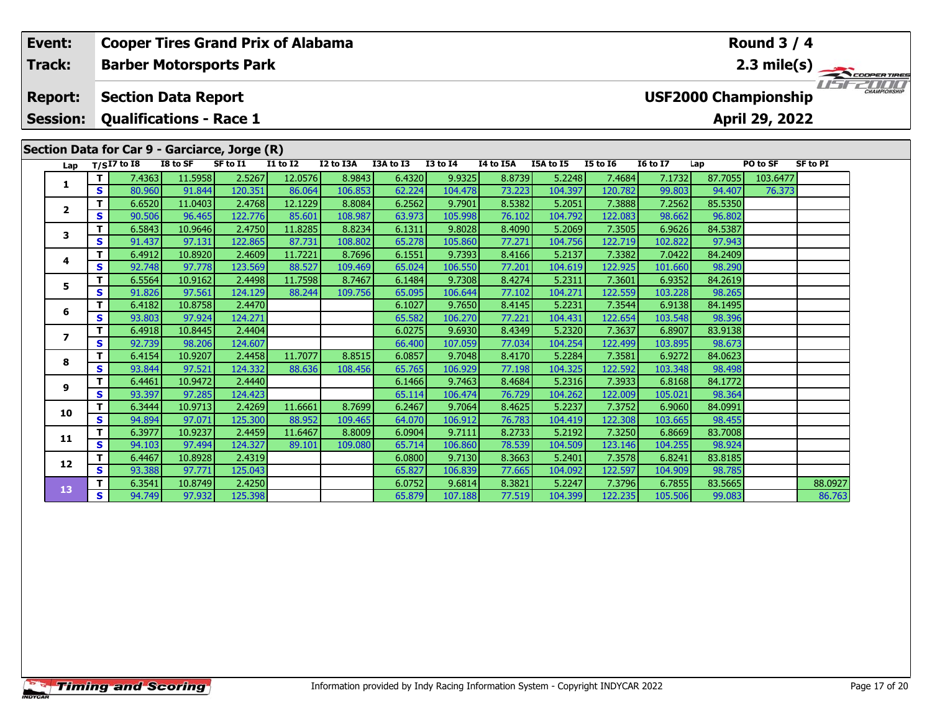|  | Event:                 |        | <b>Cooper Tires Grand Prix of Alabama</b>     |                   |                   |                 |           |                  |                   |                  |                   |                   |                   |                             | Round $3/4$    |                 |  |
|--|------------------------|--------|-----------------------------------------------|-------------------|-------------------|-----------------|-----------|------------------|-------------------|------------------|-------------------|-------------------|-------------------|-----------------------------|----------------|-----------------|--|
|  | Track:                 |        | <b>Barber Motorsports Park</b>                |                   |                   |                 |           |                  |                   |                  |                   |                   |                   |                             |                | 2.3 mile(s)     |  |
|  | <b>Report:</b>         |        | <b>Section Data Report</b>                    |                   |                   |                 |           |                  |                   |                  |                   |                   |                   | <b>USF2000 Championship</b> |                |                 |  |
|  | <b>Session:</b>        |        | <b>Qualifications - Race 1</b>                |                   |                   |                 |           |                  |                   |                  |                   |                   |                   |                             | April 29, 2022 |                 |  |
|  |                        |        | Section Data for Car 9 - Garciarce, Jorge (R) |                   |                   |                 |           |                  |                   |                  |                   |                   |                   |                             |                |                 |  |
|  | Lap                    |        | $T/SI7$ to 18                                 | I8 to SF          | SF to I1          | <b>I1 to I2</b> | I2 to I3A | I3A to I3        | <b>I3 to I4</b>   | I4 to I5A        | I5A to I5         | <b>I5 to 16</b>   | <b>I6 to I7</b>   | Lap                         | PO to SF       | <b>SF to PI</b> |  |
|  |                        | т      | 7.4363                                        | 11.5958           | 2.5267            | 12.0576         | 8.9843    | 6.4320           | 9.9325            | 8.8739           | 5.2248            | 7.4684            | 7.1732            | 87.7055                     | 103.6477       |                 |  |
|  | 1                      | S      | 80.960                                        | 91.844            | 120.351           | 86.064          | 106.853   | 62.224           | 104.478           | 73.223           | 104.397           | 120.782           | 99.803            | 94.407                      | 76.373         |                 |  |
|  |                        | т      | 6.6520                                        | 11.0403           | 2.4768            | 12.1229         | 8.8084    | 6.2562           | 9.7901            | 8.5382           | 5.2051            | 7.3888            | 7.2562            | 85.5350                     |                |                 |  |
|  | $\mathbf{2}$<br>3<br>4 | S      | 90.506                                        | 96.465            | 122.776           | 85.601          | 108.987   | 63.973           | 105.998           | 76.102           | 104.792           | 122.083           | 98.662            | 96.802                      |                |                 |  |
|  |                        | т      | 6.5843                                        | 10.9646           | 2.4750            | 11.8285         | 8.8234    | 6.1311           | 9.8028            | 8.4090           | 5.2069            | 7.3505            | 6.9626            | 84.5387                     |                |                 |  |
|  |                        | S      | 91.437                                        | 97.131            | 122.865           | 87.731          | 108.802   | 65.278           | 105.860           | 77.271           | 104.756           | 122.719           | 102.822           | 97.943                      |                |                 |  |
|  |                        | т      | 6.4912                                        | 10.8920           | 2.4609            | 11.7221         | 8.7696    | 6.1551           | 9.7393            | 8.4166           | 5.2137            | 7.3382            | 7.0422            | 84.2409                     |                |                 |  |
|  |                        | S      | 92.748                                        | 97.778            | 123.569           | 88.527          | 109.469   | 65.024           | 106.550           | 77.201           | 104.619           | 122.925           | 101.660           | 98.290                      |                |                 |  |
|  | 5                      | т      | 6.5564                                        | 10.9162           | 2.4498            | 11.7598         | 8.7467    | 6.1484           | 9.7308            | 8.4274           | 5.2311            | 7.3601            | 6.9352            | 84.2619                     |                |                 |  |
|  |                        | S      | 91.826                                        | 97.561            | 124.129           | 88.244          | 109.756   | 65.095           | 106.644           | 77.102           | 104.271           | 122.559           | 103.228           | 98.265                      |                |                 |  |
|  | 6                      | т      | 6.4182                                        | 10.8758           | 2.4470            |                 |           | 6.1027           | 9.7650            | 8.4145           | 5.2231            | 7.3544            | 6.9138            | 84.1495                     |                |                 |  |
|  |                        | S      | 93.803                                        | 97.924            | 124.271           |                 |           | 65.582           | 106.270           | 77.221           | 104.431           | 122.654           | 103.548           | 98.396                      |                |                 |  |
|  | $\overline{ }$         | т<br>S | 6.4918<br>92.739                              | 10.8445<br>98.206 | 2.4404<br>124.607 |                 |           | 6.0275<br>66.400 | 9.6930<br>107.059 | 8.4349<br>77.034 | 5.2320<br>104.254 | 7.3637<br>122.499 | 6.8907<br>103.895 | 83.9138<br>98.673           |                |                 |  |
|  |                        | т      | 6.4154                                        | 10.9207           | 2.4458            | 11.7077         | 8.8515    | 6.0857           | 9.7048            | 8.4170           | 5.2284            | 7.3581            | 6.9272            | 84.0623                     |                |                 |  |
|  | 8                      | S.     | 93.844                                        | 97.521            | 124.332           | 88.636          | 108.456   | 65.765           | 106.929           | 77.198           | 104.325           | 122.592           | 103.348           | 98.498                      |                |                 |  |
|  |                        | т      | 6.4461                                        | 10.9472           | 2.4440            |                 |           | 6.1466           | 9.7463            | 8.4684           | 5.2316            | 7.3933            | 6.8168            | 84.1772                     |                |                 |  |
|  | 9                      | S      | 93.397                                        | 97.285            | 124.423           |                 |           | 65.114           | 106.474           | 76.729           | 104.262           | 122.009           | 105.021           | 98.364                      |                |                 |  |
|  |                        | т      | 6.3444                                        | 10.9713           | 2.4269            | 11.6661         | 8.7699    | 6.2467           | 9.7064            | 8.4625           | 5.2237            | 7.3752            | 6.9060            | 84.0991                     |                |                 |  |
|  | 10                     | S.     | 94.894                                        | 97.071            | 125.300           | 88.952          | 109.465   | 64.070           | 106.912           | 76.783           | 104.419           | 122.308           | 103.665           | 98.455                      |                |                 |  |
|  |                        | т      | 6.3977                                        | 10.9237           | 2.4459            | 11.6467         | 8.8009    | 6.0904           | 9.7111            | 8.2733           | 5.2192            | 7.3250            | 6.8669            | 83.7008                     |                |                 |  |
|  | 11                     | S      | 94.103                                        | 97.494            | 124.327           | 89.101          | 109.080   | 65.714           | 106.860           | 78.539           | 104.509           | 123.146           | 104.255           | 98.924                      |                |                 |  |
|  | 12                     | т      | 6.4467                                        | 10.8928           | 2.4319            |                 |           | 6.0800           | 9.7130            | 8.3663           | 5.2401            | 7.3578            | 6.8241            | 83.8185                     |                |                 |  |
|  |                        | S      | 93.388                                        | 97.771            | 125.043           |                 |           | 65.827           | 106.839           | 77.665           | 104.092           | 122.597           | 104.909           | 98.785                      |                |                 |  |
|  | 13                     | т      | 6.3541                                        | 10.8749           | 2.4250            |                 |           | 6.0752           | 9.6814            | 8.3821           | 5.2247            | 7.3796            | 6.7855            | 83.5665                     |                | 88.0927         |  |
|  |                        | S.     | 94.749                                        | 97.932            | 125.398           |                 |           | 65.879           | 107.188           | 77.519           | 104.399           | 122.235           | 105.506           | 99.083                      |                | 86.763          |  |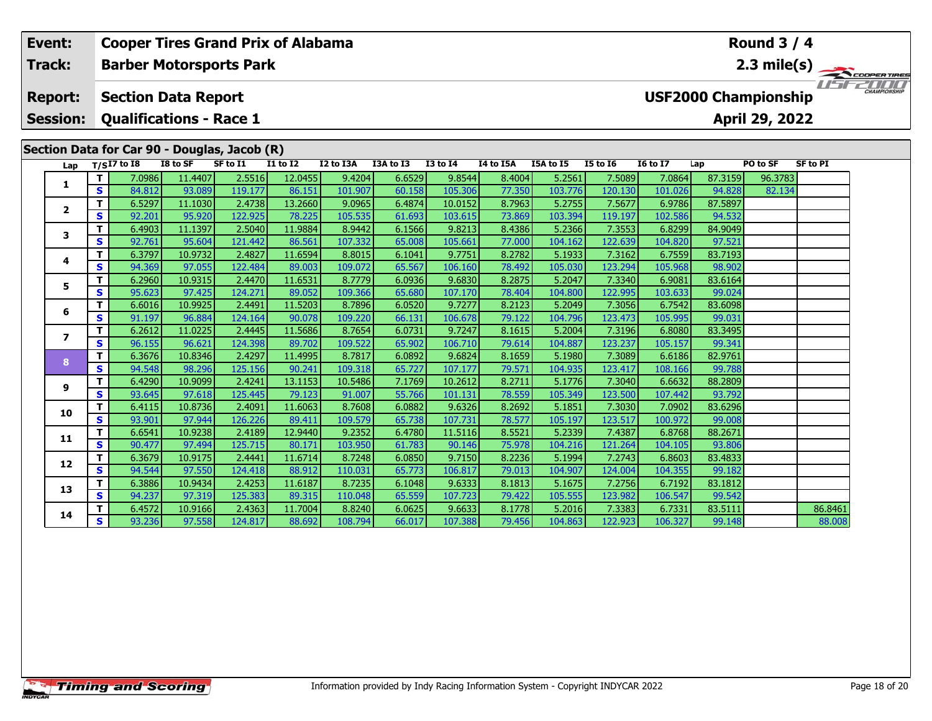| Event:<br>Track: |              | <b>Cooper Tires Grand Prix of Alabama</b>    |                   |                   |                   |                    |                  | <b>Round 3 / 4</b> |                  |                   |                   |                   |                   |                             |                 |                       |
|------------------|--------------|----------------------------------------------|-------------------|-------------------|-------------------|--------------------|------------------|--------------------|------------------|-------------------|-------------------|-------------------|-------------------|-----------------------------|-----------------|-----------------------|
|                  |              | <b>Barber Motorsports Park</b>               |                   |                   |                   |                    |                  |                    |                  |                   |                   |                   |                   |                             |                 | $2.3 \text{ mile(s)}$ |
| <b>Report:</b>   |              | <b>Section Data Report</b>                   |                   |                   |                   |                    |                  |                    |                  |                   |                   |                   |                   | <b>USF2000 Championship</b> |                 | CHAMPIONSHIP          |
| <b>Session:</b>  |              | <b>Qualifications - Race 1</b>               |                   |                   |                   |                    |                  |                    |                  |                   |                   |                   |                   | April 29, 2022              |                 |                       |
|                  |              | Section Data for Car 90 - Douglas, Jacob (R) |                   |                   |                   |                    |                  |                    |                  |                   |                   |                   |                   |                             |                 |                       |
|                  |              | $T/SI7$ to I8                                | I8 to SF          | SF to I1          | $I1$ to $I2$      | I2 to I3A          | I3A to I3        | <b>I3 to I4</b>    | I4 to I5A        | I5A to I5         | <b>I5 to 16</b>   | <b>I6 to I7</b>   | Lap               | PO to SF                    | <b>SF to PI</b> |                       |
| Lap              | T            | 7.0986                                       | 11.4407           | 2.5516            | 12.0455           | 9.4204             | 6.6529           | 9.8544             | 8.4004           | 5.2561            | 7.5089            | 7.0864            | 87.3159           | 96.3783                     |                 |                       |
| 1                | $\mathbf{s}$ | 84.812                                       | 93.089            | 119.177           | 86.151            | 101.907            | 60.158           | 105.306            | 77.350           | 103.776           | 120.130           | 101.026           | 94.828            | 82.134                      |                 |                       |
|                  | т            | 6.5297                                       | 11.1030           | 2.4738            | 13.2660           | 9.0965             | 6.4874           | 10.0152            | 8.7963           | 5.2755            | 7.5677            | 6.9786            | 87.5897           |                             |                 |                       |
| $\mathbf{2}$     | $\mathbf{s}$ | 92.201                                       | 95.920            | 122.925           | 78.225            | 105.535            | 61.693           | 103.615            | 73.869           | 103.394           | 119.197           | 102.586           | 94.532            |                             |                 |                       |
| 3                | T            | 6.4903                                       | 11.1397           | 2.5040            | 11.9884           | 8.9442             | 6.1566           | 9.8213             | 8.4386           | 5.2366            | 7.3553            | 6.8299            | 84.9049           |                             |                 |                       |
|                  | $\mathbf{s}$ | 92.761                                       | 95.604            | 121.442           | 86.561            | 107.332            | 65.008           | 105.661            | 77.000           | 104.162           | 122.639           | 104.820           | 97.521            |                             |                 |                       |
| 4                | T            | 6.3797                                       | 10.9732           | 2.4827            | 11.6594           | 8.8015             | 6.1041           | 9.7751             | 8.2782           | 5.1933            | 7.3162            | 6.7559            | 83.7193           |                             |                 |                       |
|                  | $\mathbf{s}$ | 94.369                                       | 97.055            | 122.484           | 89.003            | 109.072            | 65.567           | 106.160            | 78.492           | 105.030           | 123.294           | 105.968           | 98.902            |                             |                 |                       |
| 5                | T.           | 6.2960                                       | 10.9315           | 2.4470            | 11.6531           | 8.7779             | 6.0936           | 9.6830             | 8.2875           | 5.2047            | 7.3340            | 6.9081            | 83.6164           |                             |                 |                       |
|                  | $\mathbf{s}$ | 95.623                                       | 97.425            | 124.271           | 89.052            | 109.366            | 65.680           | 107.170            | 78.404           | 104.800           | 122.995           | 103.633           | 99.024            |                             |                 |                       |
| 6                | T            | 6.6016                                       | 10.9925           | 2.4491            | 11.5203           | 8.7896             | 6.0520           | 9.7277             | 8.2123           | 5.2049            | 7.3056            | 6.7542            | 83.6098           |                             |                 |                       |
|                  | S            | 91.197                                       | 96.884            | 124.164           | 90.078            | 109.220            | 66.131           | 106.678            | 79.122           | 104.796           | 123.473           | 105.995           | 99.031            |                             |                 |                       |
| $\overline{ }$   | т            | 6.2612                                       | 11.0225           | 2.4445            | 11.5686           | 8.7654             | 6.0731           | 9.7247             | 8.1615           | 5.2004            | 7.3196            | 6.8080            | 83.3495           |                             |                 |                       |
|                  | S            | 96.155                                       | 96.621            | 124.398           | 89.702            | 109.522            | 65.902           | 106.710            | 79.614           | 104.887           | 123.237           | 105.157           | 99.341            |                             |                 |                       |
| 8                | $\mathbf{T}$ | 6.3676                                       | 10.8346           | 2.4297            | 11.4995           | 8.7817             | 6.0892           | 9.6824             | 8.1659           | 5.1980            | 7.3089            | 6.6186            | 82.9761           |                             |                 |                       |
|                  | S<br>T       | 94.548<br>6.4290                             | 98.296<br>10.9099 | 125.156<br>2.4241 | 90.241<br>13.1153 | 109.318<br>10.5486 | 65.727<br>7.1769 | 107.177<br>10.2612 | 79.571<br>8.2711 | 104.935<br>5.1776 | 123.417<br>7.3040 | 108.166<br>6.6632 | 99.788<br>88.2809 |                             |                 |                       |
| 9                | $\mathbf{s}$ | 93.645                                       | 97.618            | 125.445           | 79.123            | 91.007             | 55.766           | 101.131            | 78.559           | 105.349           | 123.500           | 107.442           | 93.792            |                             |                 |                       |
|                  | т            | 6.4115                                       | 10.8736           | 2.4091            | 11.6063           | 8.7608             | 6.0882           | 9.6326             | 8.2692           | 5.1851            | 7.3030            | 7.0902            | 83.6296           |                             |                 |                       |
| 10               | $\mathbf{s}$ | 93.901                                       | 97.944            | 126.226           | 89.411            | 109.579            | 65.738           | 107.731            | 78.577           | 105.197           | 123.517           | 100.972           | 99.008            |                             |                 |                       |
|                  | т            | 6.6541                                       | 10.9238           | 2.4189            | 12.9440           | 9.2352             | 6.4780           | 11.5116            | 8.5521           | 5.2339            | 7.4387            | 6.8768            | 88.2671           |                             |                 |                       |
| 11               | $\mathbf{s}$ | 90.477                                       | 97.494            | 125.715           | 80.171            | 103.950            | 61.783           | 90.146             | 75.978           | 104.216           | 121.264           | 104.105           | 93.806            |                             |                 |                       |
|                  | т            | 6.3679                                       | 10.9175           | 2.4441            | 11.6714           | 8.7248             | 6.0850           | 9.7150             | 8.2236           | 5.1994            | 7.2743            | 6.8603            | 83.4833           |                             |                 |                       |
| 12               | $\mathbf{s}$ | 94.544                                       | 97.550            | 124.418           | 88.912            | 110.031            | 65.773           | 106.817            | 79.013           | 104.907           | 124.004           | 104.355           | 99.182            |                             |                 |                       |
|                  | т            | 6.3886                                       | 10.9434           | 2.4253            | 11.6187           | 8.7235             | 6.1048           | 9.6333             | 8.1813           | 5.1675            | 7.2756            | 6.7192            | 83.1812           |                             |                 |                       |
| 13               | $\mathbf{s}$ | 94.237                                       | 97.319            | 125.383           | 89.315            | 110.048            | 65.559           | 107.723            | 79.422           | 105.555           | 123.982           | 106.547           | 99.542            |                             |                 |                       |
|                  | т            | 6.4572                                       | 10.9166           | 2.4363            | 11.7004           | 8.8240             | 6.0625           | 9.6633             | 8.1778           | 5.2016            | 7.3383            | 6.7331            | 83.5111           |                             | 86.8461         |                       |
| 14               | S            | 93.236                                       | 97.558            | 124.817           | 88.692            | 108.794            | 66.017           | 107.388            | 79.456           | 104.863           | 122.923           | 106.327           | 99.148            |                             | 88.008          |                       |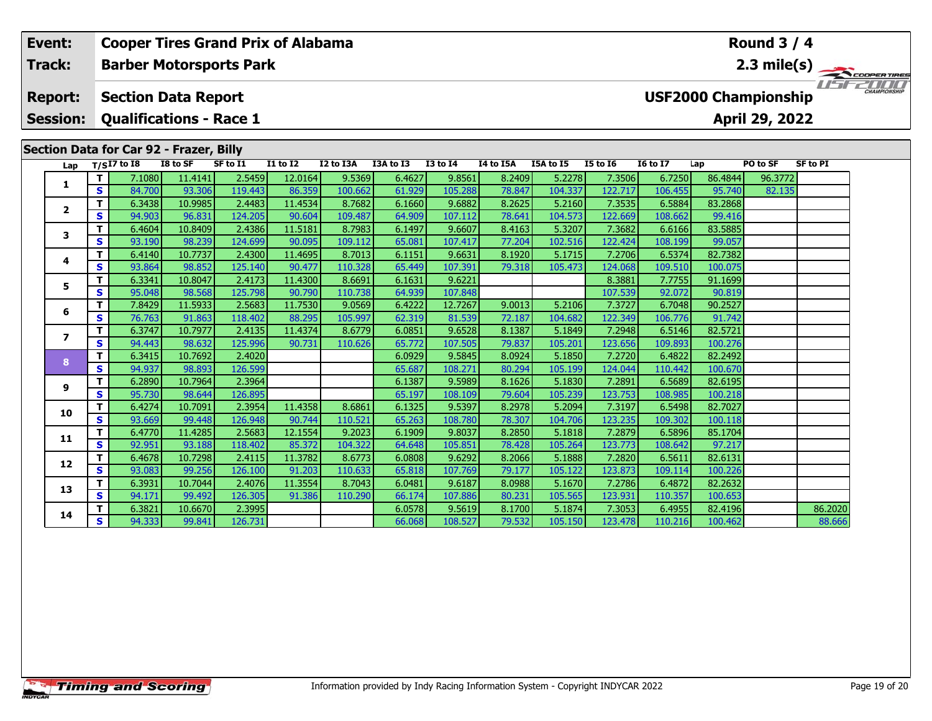|     | Event:<br>Track: |              | <b>Cooper Tires Grand Prix of Alabama</b> |                   |                   |                   |                   |                  | Round $3/4$       |                  |                   |                   |                   |                             |                |                 |                                                                         |
|-----|------------------|--------------|-------------------------------------------|-------------------|-------------------|-------------------|-------------------|------------------|-------------------|------------------|-------------------|-------------------|-------------------|-----------------------------|----------------|-----------------|-------------------------------------------------------------------------|
|     |                  |              | <b>Barber Motorsports Park</b>            |                   |                   |                   |                   |                  |                   |                  |                   |                   |                   |                             |                |                 | $\frac{2.3 \text{ mile(s)}}{1.51 - 2.00 \text{ meters} \cdot \text{m}}$ |
|     | <b>Report:</b>   |              | <b>Section Data Report</b>                |                   |                   |                   |                   |                  |                   |                  |                   |                   |                   | <b>USF2000 Championship</b> |                |                 |                                                                         |
|     | <b>Session:</b>  |              | <b>Qualifications - Race 1</b>            |                   |                   |                   |                   |                  |                   |                  |                   |                   |                   |                             | April 29, 2022 |                 |                                                                         |
|     |                  |              | Section Data for Car 92 - Frazer, Billy   |                   |                   |                   |                   |                  |                   |                  |                   |                   |                   |                             |                |                 |                                                                         |
| Lap |                  |              | $T/SI7$ to 18                             | I8 to SF          | SF to I1          | $I1$ to $I2$      | I2 to I3A         | I3A to I3        | <b>I3 to I4</b>   | I4 to I5A        | I5A to I5         | $I5$ to $I6$      | <b>I6 to I7</b>   | Lap                         | PO to SF       | <b>SF to PI</b> |                                                                         |
|     |                  | т            | 7.1080                                    | 11.4141           | 2.5459            | 12.0164           | 9.5369            | 6.4627           | 9.8561            | 8.2409           | 5.2278            | 7.3506            | 6.7250            | 86.4844                     | 96.3772        |                 |                                                                         |
|     | 1                | $\mathbf{s}$ | 84.700                                    | 93.306            | 119.443           | 86.359            | 100.662           | 61.929           | 105.288           | 78.847           | 104.337           | 122.717           | 106.455           | 95.740                      | 82.135         |                 |                                                                         |
|     |                  | T            | 6.3438                                    | 10.9985           | 2.4483            | 11.4534           | 8.7682            | 6.1660           | 9.6882            | 8.2625           | 5.2160            | 7.3535            | 6.5884            | 83.2868                     |                |                 |                                                                         |
|     | $\mathbf{2}$     | $\mathbf{s}$ | 94.903                                    | 96.831            | 124.205           | 90.604            | 109.487           | 64.909           | 107.112           | 78.641           | 104.573           | 122.669           | 108.662           | 99.416                      |                |                 |                                                                         |
|     | 3                | т            | 6.4604                                    | 10.8409           | 2.4386            | 11.5181           | 8.7983            | 6.1497           | 9.6607            | 8.4163           | 5.3207            | 7.3682            | 6.6166            | 83.5885                     |                |                 |                                                                         |
|     |                  | S            | 93.190                                    | 98.239            | 124.699           | 90.095            | 109.112           | 65.081           | 107.417           | 77.204           | 102.516           | 122.424           | 108.199           | 99.057                      |                |                 |                                                                         |
|     | 4                | T            | 6.4140                                    | 10.7737           | 2.4300            | 11.4695           | 8.7013            | 6.1151           | 9.6631            | 8.1920           | 5.1715            | 7.2706            | 6.5374            | 82.7382                     |                |                 |                                                                         |
|     |                  | $\mathbf{s}$ | 93.864                                    | 98.852            | 125.140           | 90.477            | 110.328           | 65.449           | 107.391           | 79.318           | 105.473           | 124.068           | 109.510           | 100.075                     |                |                 |                                                                         |
|     | 5                | T            | 6.3341                                    | 10.8047           | 2.4173            | 11.4300           | 8.6691            | 6.1631           | 9.6221            |                  |                   | 8.3881            | 7.7755            | 91.1699                     |                |                 |                                                                         |
|     |                  | $\mathbf{s}$ | 95.048                                    | 98.568            | 125.798           | 90.790            | 110.738           | 64.939           | 107.848           |                  |                   | 107.539           | 92.072            | 90.819                      |                |                 |                                                                         |
|     | 6                | т            | 7.8429                                    | 11.5933           | 2.5683            | 11.7530           | 9.0569            | 6.4222           | 12.7267           | 9.0013           | 5.2106            | 7.3727            | 6.7048            | 90.2527                     |                |                 |                                                                         |
|     |                  | S            | 76.763                                    | 91.863            | 118.402           | 88.295            | 105.997           | 62.319           | 81.539            | 72.187           | 104.682           | 122.349           | 106.776           | 91.742                      |                |                 |                                                                         |
|     | $\overline{ }$   | T            | 6.3747                                    | 10.7977           | 2.4135            | 11.4374           | 8.6779            | 6.0851           | 9.6528            | 8.1387           | 5.1849            | 7.2948            | 6.5146            | 82.5721                     |                |                 |                                                                         |
|     |                  | $\mathbf{s}$ | 94.443                                    | 98.632            | 125.996           | 90.731            | 110.626           | 65.772           | 107.505           | 79.837           | 105.201           | 123.656           | 109.893           | 100.276                     |                |                 |                                                                         |
|     | 8                | $\mathbf{T}$ | 6.3415                                    | 10.7692           | 2.4020            |                   |                   | 6.0929           | 9.5845            | 8.0924           | 5.1850            | 7.2720            | 6.4822            | 82.2492                     |                |                 |                                                                         |
|     |                  | S            | 94.937                                    | 98.893            | 126.599           |                   |                   | 65.687           | 108.271           | 80.294           | 105.199           | 124.044           | 110.442           | 100.670                     |                |                 |                                                                         |
|     | 9                | T            | 6.2890                                    | 10.7964           | 2.3964            |                   |                   | 6.1387           | 9.5989            | 8.1626           | 5.1830            | 7.2891            | 6.5689            | 82.6195                     |                |                 |                                                                         |
|     |                  | $\mathbf{s}$ | 95.730                                    | 98.644            | 126.895           |                   |                   | 65.197           | 108.109           | 79.604           | 105.239           | 123.753           | 108.985           | 100.218                     |                |                 |                                                                         |
|     | 10               | т            | 6.4274                                    | 10.7091           | 2.3954            | 11.4358           | 8.6861            | 6.1325           | 9.5397            | 8.2978           | 5.2094            | 7.3197            | 6.5498            | 82.7027                     |                |                 |                                                                         |
|     |                  | S<br>т       | 93.669                                    | 99.448            | 126.948           | 90.744            | 110.521           | 65.263           | 108.780           | 78.307           | 104.706           | 123.235           | 109.302           | 100.118<br>85.1704          |                |                 |                                                                         |
|     | 11               | S            | 6.4770<br>92.951                          | 11.4285<br>93.188 | 2.5683<br>118.402 | 12.1554<br>85.372 | 9.2023<br>104.322 | 6.1909<br>64.648 | 9.8037<br>105.851 | 8.2850<br>78.428 | 5.1818<br>105.264 | 7.2879<br>123.773 | 6.5896<br>108.642 | 97.217                      |                |                 |                                                                         |
|     |                  | т            | 6.4678                                    | 10.7298           | 2.4115            | 11.3782           | 8.6773            | 6.0808           | 9.6292            | 8.2066           | 5.1888            | 7.2820            | 6.5611            | 82.6131                     |                |                 |                                                                         |
|     | 12               | $\mathbf{s}$ | 93.083                                    | 99.256            | 126.100           | 91.203            | 110.633           | 65.818           | 107.769           | 79.177           | 105.122           | 123.873           | 109.114           | 100.226                     |                |                 |                                                                         |
|     |                  | т            | 6.3931                                    | 10.7044           | 2.4076            | 11.3554           | 8.7043            | 6.0481           | 9.6187            | 8.0988           | 5.1670            | 7.2786            | 6.4872            | 82.2632                     |                |                 |                                                                         |
|     | 13               | $\mathbf{s}$ | 94.171                                    | 99.492            | 126.305           | 91.386            | 110.290           | 66.174           | 107.886           | 80.231           | 105.565           | 123.931           | 110.357           | 100.653                     |                |                 |                                                                         |
|     |                  | т            | 6.3821                                    | 10.6670           | 2.3995            |                   |                   | 6.0578           | 9.5619            | 8.1700           | 5.1874            | 7.3053            | 6.4955            | 82.4196                     |                | 86.2020         |                                                                         |
|     | 14               | S.           | 94.333                                    | 99.841            | 126.731           |                   |                   | 66.068           | 108.527           | 79.532           | 105.150           | 123,478           | 110.216           | 100.462                     |                | 88.666          |                                                                         |